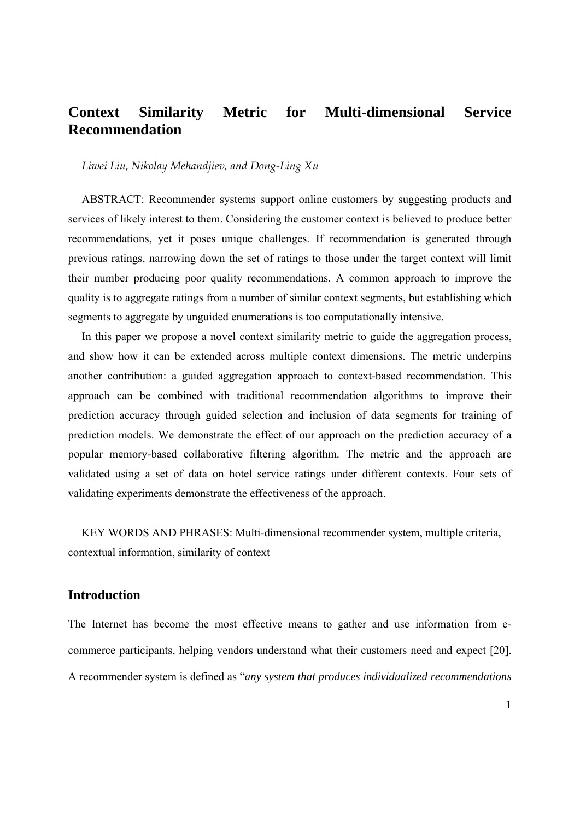## **Context Similarity Metric for Multi-dimensional Service Recommendation**

*Liwei Liu, Nikolay Mehandjiev, and Dong‐Ling Xu*

ABSTRACT: Recommender systems support online customers by suggesting products and services of likely interest to them. Considering the customer context is believed to produce better recommendations, yet it poses unique challenges. If recommendation is generated through previous ratings, narrowing down the set of ratings to those under the target context will limit their number producing poor quality recommendations. A common approach to improve the quality is to aggregate ratings from a number of similar context segments, but establishing which segments to aggregate by unguided enumerations is too computationally intensive.

In this paper we propose a novel context similarity metric to guide the aggregation process, and show how it can be extended across multiple context dimensions. The metric underpins another contribution: a guided aggregation approach to context-based recommendation. This approach can be combined with traditional recommendation algorithms to improve their prediction accuracy through guided selection and inclusion of data segments for training of prediction models. We demonstrate the effect of our approach on the prediction accuracy of a popular memory-based collaborative filtering algorithm. The metric and the approach are validated using a set of data on hotel service ratings under different contexts. Four sets of validating experiments demonstrate the effectiveness of the approach.

KEY WORDS AND PHRASES: Multi-dimensional recommender system, multiple criteria, contextual information, similarity of context

## **Introduction**

The Internet has become the most effective means to gather and use information from ecommerce participants, helping vendors understand what their customers need and expect [20]. A recommender system is defined as "*any system that produces individualized recommendations*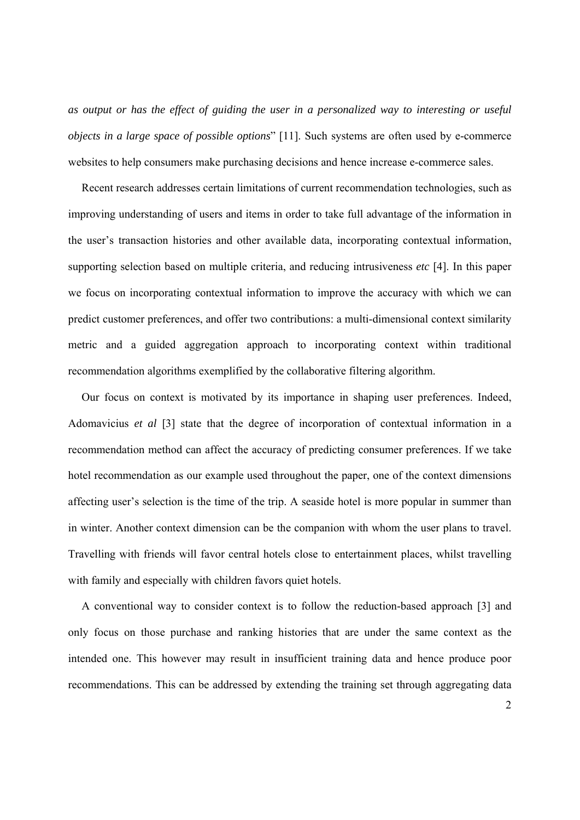*as output or has the effect of guiding the user in a personalized way to interesting or useful objects in a large space of possible options*" [11]. Such systems are often used by e-commerce websites to help consumers make purchasing decisions and hence increase e-commerce sales.

Recent research addresses certain limitations of current recommendation technologies, such as improving understanding of users and items in order to take full advantage of the information in the user's transaction histories and other available data, incorporating contextual information, supporting selection based on multiple criteria, and reducing intrusiveness *etc* [4]. In this paper we focus on incorporating contextual information to improve the accuracy with which we can predict customer preferences, and offer two contributions: a multi-dimensional context similarity metric and a guided aggregation approach to incorporating context within traditional recommendation algorithms exemplified by the collaborative filtering algorithm.

Our focus on context is motivated by its importance in shaping user preferences. Indeed, Adomavicius *et al* [3] state that the degree of incorporation of contextual information in a recommendation method can affect the accuracy of predicting consumer preferences. If we take hotel recommendation as our example used throughout the paper, one of the context dimensions affecting user's selection is the time of the trip. A seaside hotel is more popular in summer than in winter. Another context dimension can be the companion with whom the user plans to travel. Travelling with friends will favor central hotels close to entertainment places, whilst travelling with family and especially with children favors quiet hotels.

A conventional way to consider context is to follow the reduction-based approach [3] and only focus on those purchase and ranking histories that are under the same context as the intended one. This however may result in insufficient training data and hence produce poor recommendations. This can be addressed by extending the training set through aggregating data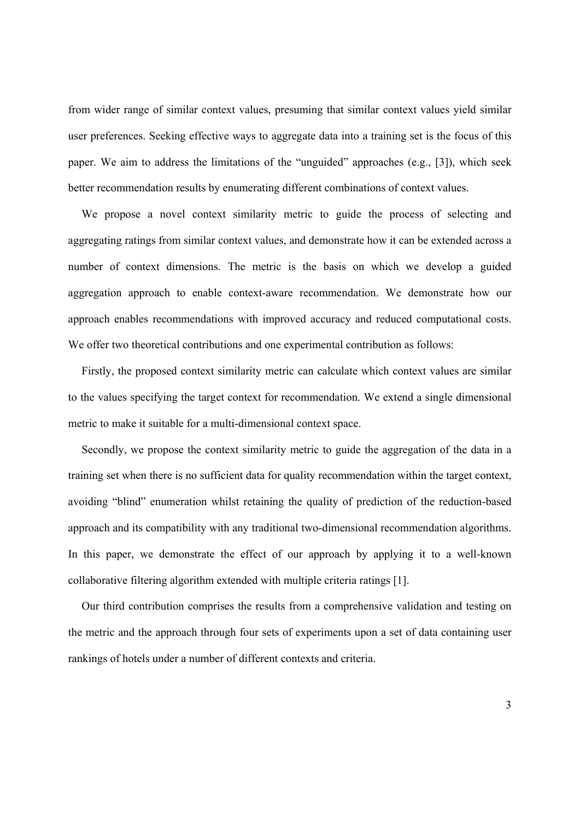from wider range of similar context values, presuming that similar context values yield similar user preferences. Seeking effective ways to aggregate data into a training set is the focus of this paper. We aim to address the limitations of the "unguided" approaches (e.g., [3]), which seek better recommendation results by enumerating different combinations of context values.

We propose a novel context similarity metric to guide the process of selecting and aggregating ratings from similar context values, and demonstrate how it can be extended across a number of context dimensions. The metric is the basis on which we develop a guided aggregation approach to enable context-aware recommendation. We demonstrate how our approach enables recommendations with improved accuracy and reduced computational costs. We offer two theoretical contributions and one experimental contribution as follows:

Firstly, the proposed context similarity metric can calculate which context values are similar to the values specifying the target context for recommendation. We extend a single dimensional metric to make it suitable for a multi-dimensional context space.

Secondly, we propose the context similarity metric to guide the aggregation of the data in a training set when there is no sufficient data for quality recommendation within the target context, avoiding "blind" enumeration whilst retaining the quality of prediction of the reduction-based approach and its compatibility with any traditional two-dimensional recommendation algorithms. In this paper, we demonstrate the effect of our approach by applying it to a well-known collaborative filtering algorithm extended with multiple criteria ratings [1].

Our third contribution comprises the results from a comprehensive validation and testing on the metric and the approach through four sets of experiments upon a set of data containing user rankings of hotels under a number of different contexts and criteria.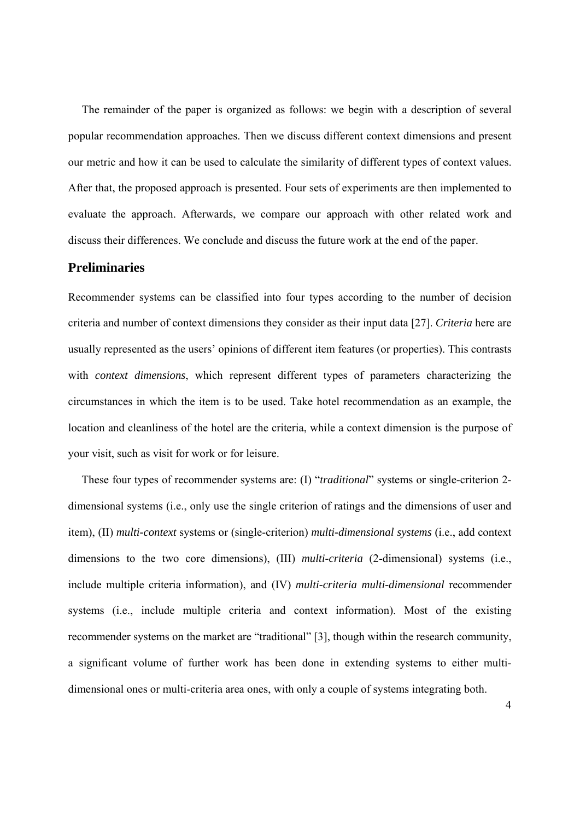The remainder of the paper is organized as follows: we begin with a description of several popular recommendation approaches. Then we discuss different context dimensions and present our metric and how it can be used to calculate the similarity of different types of context values. After that, the proposed approach is presented. Four sets of experiments are then implemented to evaluate the approach. Afterwards, we compare our approach with other related work and discuss their differences. We conclude and discuss the future work at the end of the paper.

## **Preliminaries**

Recommender systems can be classified into four types according to the number of decision criteria and number of context dimensions they consider as their input data [27]. *Criteria* here are usually represented as the users' opinions of different item features (or properties). This contrasts with *context dimensions*, which represent different types of parameters characterizing the circumstances in which the item is to be used. Take hotel recommendation as an example, the location and cleanliness of the hotel are the criteria, while a context dimension is the purpose of your visit, such as visit for work or for leisure.

These four types of recommender systems are: (I) "*traditional*" systems or single-criterion 2 dimensional systems (i.e., only use the single criterion of ratings and the dimensions of user and item), (II) *multi-context* systems or (single-criterion) *multi-dimensional systems* (i.e., add context dimensions to the two core dimensions), (III) *multi-criteria* (2-dimensional) systems (i.e., include multiple criteria information), and (IV) *multi-criteria multi-dimensional* recommender systems (i.e., include multiple criteria and context information). Most of the existing recommender systems on the market are "traditional" [3], though within the research community, a significant volume of further work has been done in extending systems to either multidimensional ones or multi-criteria area ones, with only a couple of systems integrating both.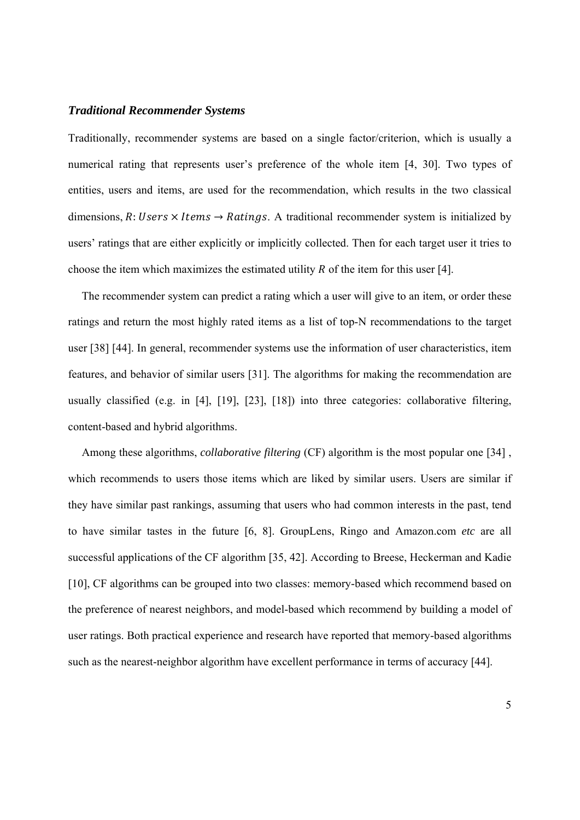#### *Traditional Recommender Systems*

Traditionally, recommender systems are based on a single factor/criterion, which is usually a numerical rating that represents user's preference of the whole item [4, 30]. Two types of entities, users and items, are used for the recommendation, which results in the two classical dimensions, R: Users  $\times$  Items  $\rightarrow$  Ratings. A traditional recommender system is initialized by users' ratings that are either explicitly or implicitly collected. Then for each target user it tries to choose the item which maximizes the estimated utility  $R$  of the item for this user [4].

The recommender system can predict a rating which a user will give to an item, or order these ratings and return the most highly rated items as a list of top-N recommendations to the target user [38] [44]. In general, recommender systems use the information of user characteristics, item features, and behavior of similar users [31]. The algorithms for making the recommendation are usually classified (e.g. in [4], [19], [23], [18]) into three categories: collaborative filtering, content-based and hybrid algorithms.

Among these algorithms, *collaborative filtering* (CF) algorithm is the most popular one [34] , which recommends to users those items which are liked by similar users. Users are similar if they have similar past rankings, assuming that users who had common interests in the past, tend to have similar tastes in the future [6, 8]. GroupLens, Ringo and Amazon.com *etc* are all successful applications of the CF algorithm [35, 42]. According to Breese, Heckerman and Kadie [10], CF algorithms can be grouped into two classes: memory-based which recommend based on the preference of nearest neighbors, and model-based which recommend by building a model of user ratings. Both practical experience and research have reported that memory-based algorithms such as the nearest-neighbor algorithm have excellent performance in terms of accuracy [44].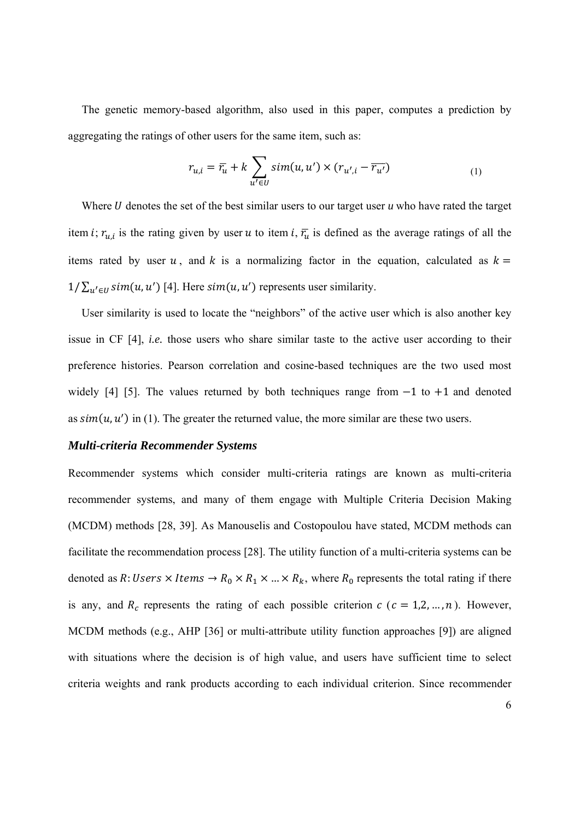The genetic memory-based algorithm, also used in this paper, computes a prediction by aggregating the ratings of other users for the same item, such as:

$$
r_{u,i} = \overline{r_u} + k \sum_{u' \in U} sim(u, u') \times (r_{u',i} - \overline{r_{u'}})
$$
 (1)

Where  $U$  denotes the set of the best similar users to our target user  $u$  who have rated the target item *i*;  $r_{u,i}$  is the rating given by user *u* to item *i*,  $\bar{r}_u$  is defined as the average ratings of all the items rated by user u, and k is a normalizing factor in the equation, calculated as  $k =$  $1/\sum_{u' \in U} \text{sim}(u, u')$  [4]. Here  $\text{sim}(u, u')$  represents user similarity.

User similarity is used to locate the "neighbors" of the active user which is also another key issue in CF [4], *i.e.* those users who share similar taste to the active user according to their preference histories. Pearson correlation and cosine-based techniques are the two used most widely [4] [5]. The values returned by both techniques range from  $-1$  to  $+1$  and denoted as  $sim(u, u')$  in (1). The greater the returned value, the more similar are these two users.

#### *Multi-criteria Recommender Systems*

Recommender systems which consider multi-criteria ratings are known as multi-criteria recommender systems, and many of them engage with Multiple Criteria Decision Making (MCDM) methods [28, 39]. As Manouselis and Costopoulou have stated, MCDM methods can facilitate the recommendation process [28]. The utility function of a multi-criteria systems can be denoted as R: Users  $\times$  Items  $\rightarrow$  R<sub>0</sub>  $\times$  R<sub>1</sub>  $\times$  ...  $\times$  R<sub>k</sub>, where R<sub>0</sub> represents the total rating if there is any, and  $R_c$  represents the rating of each possible criterion  $c$  ( $c = 1,2,...,n$ ). However, MCDM methods (e.g., AHP [36] or multi-attribute utility function approaches [9]) are aligned with situations where the decision is of high value, and users have sufficient time to select criteria weights and rank products according to each individual criterion. Since recommender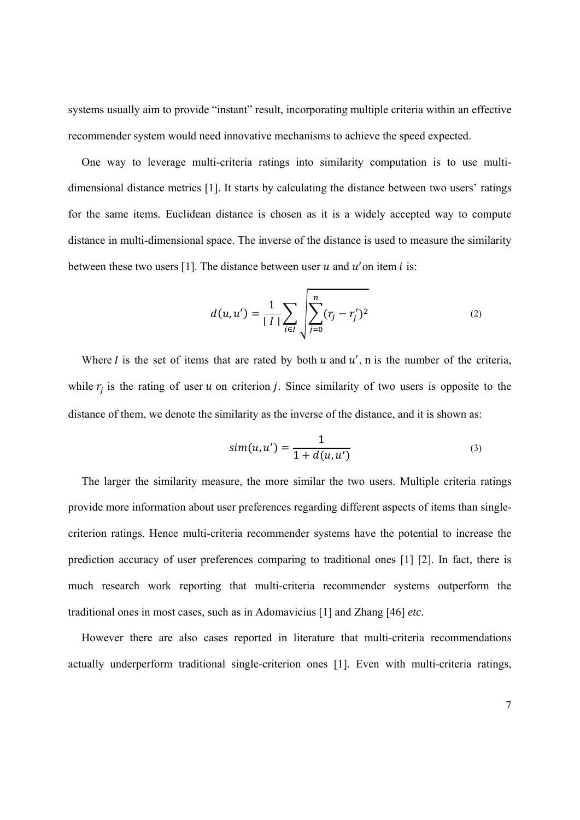systems usually aim to provide "instant" result, incorporating multiple criteria within an effective recommender system would need innovative mechanisms to achieve the speed expected.

One way to leverage multi-criteria ratings into similarity computation is to use multidimensional distance metrics [1]. It starts by calculating the distance between two users' ratings for the same items. Euclidean distance is chosen as it is a widely accepted way to compute distance in multi-dimensional space. The inverse of the distance is used to measure the similarity between these two users [1]. The distance between user  $u$  and  $u'$  on item  $i$  is:

$$
d(u, u') = \frac{1}{|I|} \sum_{i \in I} \sqrt{\sum_{j=0}^{n} (r_j - r'_j)^2}
$$
 (2)

Where I is the set of items that are rated by both  $u$  and  $u'$ , n is the number of the criteria, while  $r_i$  is the rating of user u on criterion *j*. Since similarity of two users is opposite to the distance of them, we denote the similarity as the inverse of the distance, and it is shown as:

$$
sim(u, u') = \frac{1}{1 + d(u, u')} \tag{3}
$$

The larger the similarity measure, the more similar the two users. Multiple criteria ratings provide more information about user preferences regarding different aspects of items than singlecriterion ratings. Hence multi-criteria recommender systems have the potential to increase the prediction accuracy of user preferences comparing to traditional ones [1] [2]. In fact, there is much research work reporting that multi-criteria recommender systems outperform the traditional ones in most cases, such as in Adomavicius [1] and Zhang [46] *etc*.

However there are also cases reported in literature that multi-criteria recommendations actually underperform traditional single-criterion ones [1]. Even with multi-criteria ratings,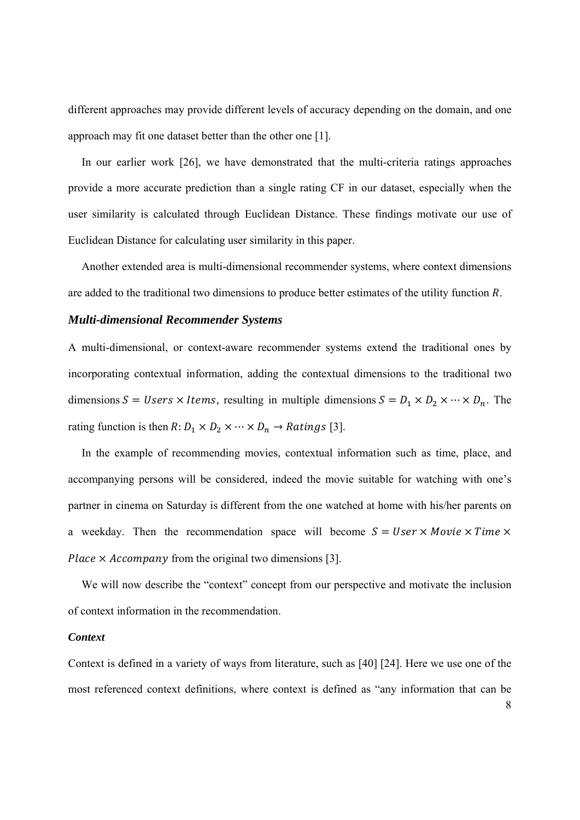different approaches may provide different levels of accuracy depending on the domain, and one approach may fit one dataset better than the other one [1].

In our earlier work [26], we have demonstrated that the multi-criteria ratings approaches provide a more accurate prediction than a single rating CF in our dataset, especially when the user similarity is calculated through Euclidean Distance. These findings motivate our use of Euclidean Distance for calculating user similarity in this paper.

Another extended area is multi-dimensional recommender systems, where context dimensions are added to the traditional two dimensions to produce better estimates of the utility function R.

#### *Multi-dimensional Recommender Systems*

A multi-dimensional, or context-aware recommender systems extend the traditional ones by incorporating contextual information, adding the contextual dimensions to the traditional two dimensions  $S = Users \times items$ , resulting in multiple dimensions  $S = D_1 \times D_2 \times \cdots \times D_n$ . The rating function is then  $R: D_1 \times D_2 \times \cdots \times D_n \to Ratings$  [3].

In the example of recommending movies, contextual information such as time, place, and accompanying persons will be considered, indeed the movie suitable for watching with one's partner in cinema on Saturday is different from the one watched at home with his/her parents on a weekday. Then the recommendation space will become  $S = User \times Movie \times Time \times$ Place  $\times$  Accompany from the original two dimensions [3].

We will now describe the "context" concept from our perspective and motivate the inclusion of context information in the recommendation.

#### *Context*

Context is defined in a variety of ways from literature, such as [40] [24]. Here we use one of the most referenced context definitions, where context is defined as "any information that can be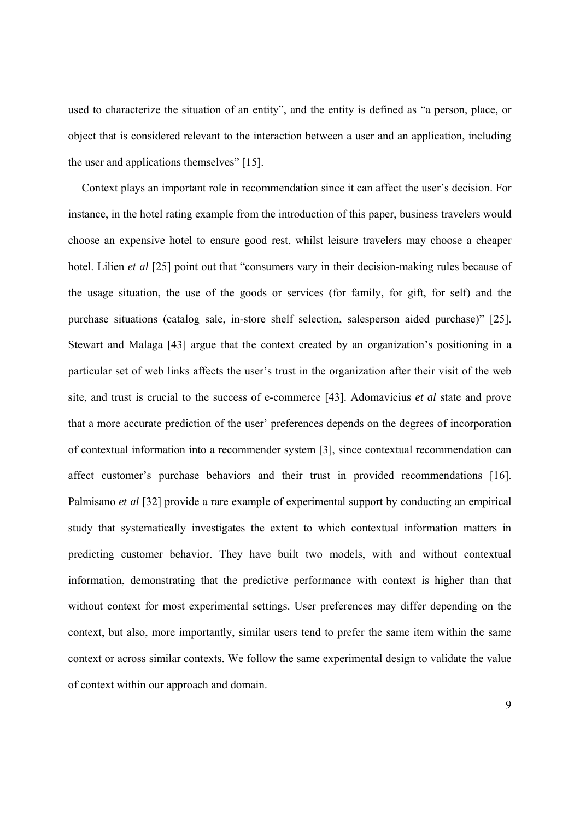used to characterize the situation of an entity", and the entity is defined as "a person, place, or object that is considered relevant to the interaction between a user and an application, including the user and applications themselves" [15].

Context plays an important role in recommendation since it can affect the user's decision. For instance, in the hotel rating example from the introduction of this paper, business travelers would choose an expensive hotel to ensure good rest, whilst leisure travelers may choose a cheaper hotel. Lilien *et al* [25] point out that "consumers vary in their decision-making rules because of the usage situation, the use of the goods or services (for family, for gift, for self) and the purchase situations (catalog sale, in-store shelf selection, salesperson aided purchase)" [25]. Stewart and Malaga [43] argue that the context created by an organization's positioning in a particular set of web links affects the user's trust in the organization after their visit of the web site, and trust is crucial to the success of e-commerce [43]. Adomavicius *et al* state and prove that a more accurate prediction of the user' preferences depends on the degrees of incorporation of contextual information into a recommender system [3], since contextual recommendation can affect customer's purchase behaviors and their trust in provided recommendations [16]. Palmisano *et al* [32] provide a rare example of experimental support by conducting an empirical study that systematically investigates the extent to which contextual information matters in predicting customer behavior. They have built two models, with and without contextual information, demonstrating that the predictive performance with context is higher than that without context for most experimental settings. User preferences may differ depending on the context, but also, more importantly, similar users tend to prefer the same item within the same context or across similar contexts. We follow the same experimental design to validate the value of context within our approach and domain.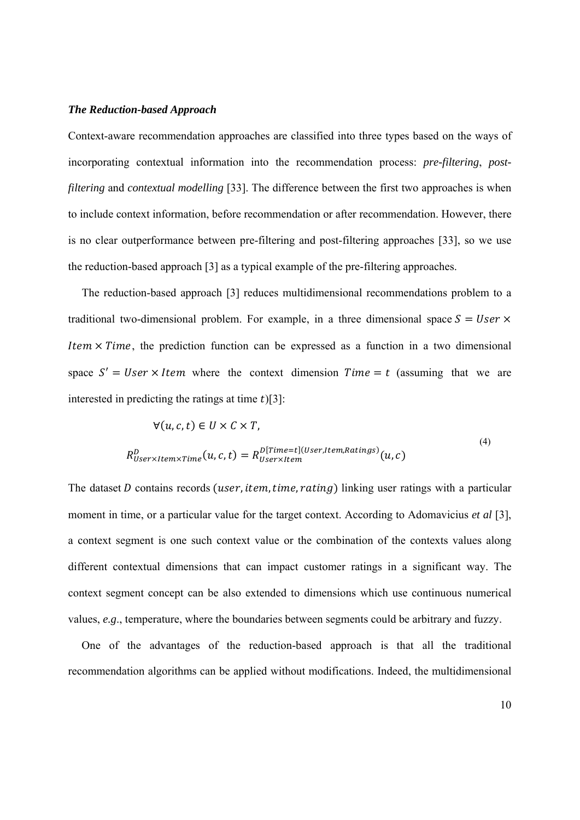#### *The Reduction-based Approach*

Context-aware recommendation approaches are classified into three types based on the ways of incorporating contextual information into the recommendation process: *pre-filtering*, *postfiltering* and *contextual modelling* [33]. The difference between the first two approaches is when to include context information, before recommendation or after recommendation. However, there is no clear outperformance between pre-filtering and post-filtering approaches [33], so we use the reduction-based approach [3] as a typical example of the pre-filtering approaches.

The reduction-based approach [3] reduces multidimensional recommendations problem to a traditional two-dimensional problem. For example, in a three dimensional space  $S = User \times$ Item  $\times$  Time, the prediction function can be expressed as a function in a two dimensional space  $S' = User \times Item$  where the context dimension  $Time = t$  (assuming that we are interested in predicting the ratings at time  $t$ )[3]:

$$
\forall (u, c, t) \in U \times C \times T,
$$
  
\n
$$
R_{User \times Item \times Time}^{D}(u, c, t) = R_{User \times Item}^{D[Time=t](User, Item, Ratings)}(u, c)
$$
\n(4)

The dataset D contains records (user, item, time, rating) linking user ratings with a particular moment in time, or a particular value for the target context. According to Adomavicius *et al* [3], a context segment is one such context value or the combination of the contexts values along different contextual dimensions that can impact customer ratings in a significant way. The context segment concept can be also extended to dimensions which use continuous numerical values, *e.g*., temperature, where the boundaries between segments could be arbitrary and fuzzy.

One of the advantages of the reduction-based approach is that all the traditional recommendation algorithms can be applied without modifications. Indeed, the multidimensional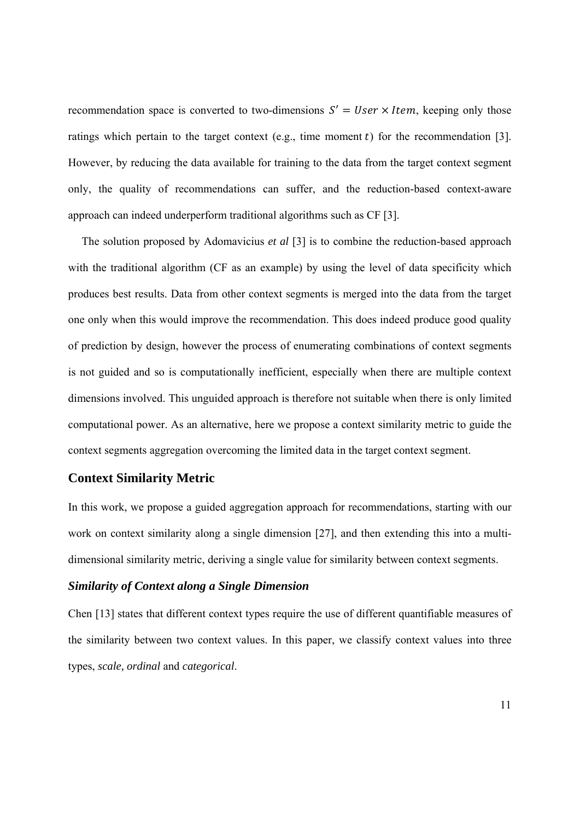recommendation space is converted to two-dimensions  $S' = User \times Item$ , keeping only those ratings which pertain to the target context (e.g., time moment  $t$ ) for the recommendation [3]. However, by reducing the data available for training to the data from the target context segment only, the quality of recommendations can suffer, and the reduction-based context-aware approach can indeed underperform traditional algorithms such as CF [3].

The solution proposed by Adomavicius *et al* [3] is to combine the reduction-based approach with the traditional algorithm (CF as an example) by using the level of data specificity which produces best results. Data from other context segments is merged into the data from the target one only when this would improve the recommendation. This does indeed produce good quality of prediction by design, however the process of enumerating combinations of context segments is not guided and so is computationally inefficient, especially when there are multiple context dimensions involved. This unguided approach is therefore not suitable when there is only limited computational power. As an alternative, here we propose a context similarity metric to guide the context segments aggregation overcoming the limited data in the target context segment.

## **Context Similarity Metric**

In this work, we propose a guided aggregation approach for recommendations, starting with our work on context similarity along a single dimension [27], and then extending this into a multidimensional similarity metric, deriving a single value for similarity between context segments.

## *Similarity of Context along a Single Dimension*

Chen [13] states that different context types require the use of different quantifiable measures of the similarity between two context values. In this paper, we classify context values into three types, *scale, ordinal* and *categorical*.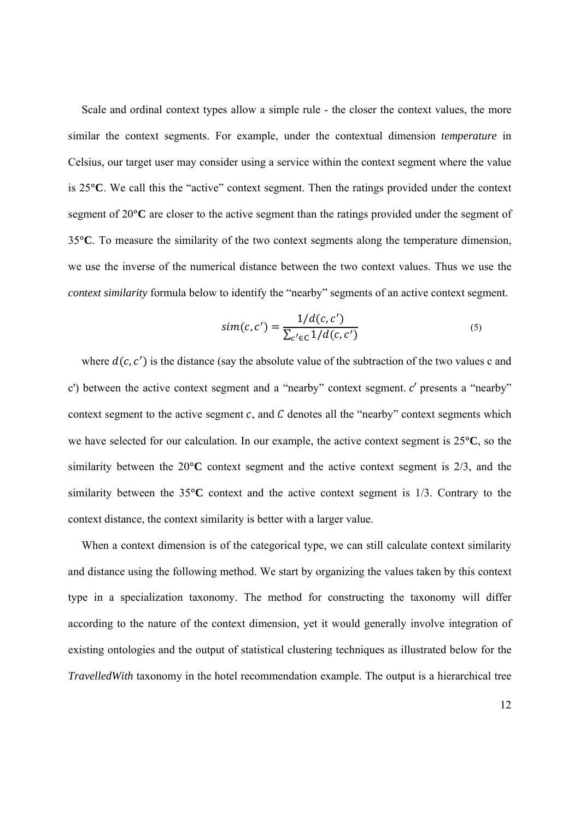Scale and ordinal context types allow a simple rule - the closer the context values, the more similar the context segments. For example, under the contextual dimension *temperature* in Celsius, our target user may consider using a service within the context segment where the value is 25**°C**. We call this the "active" context segment. Then the ratings provided under the context segment of 20**°C** are closer to the active segment than the ratings provided under the segment of 35**°C**. To measure the similarity of the two context segments along the temperature dimension, we use the inverse of the numerical distance between the two context values. Thus we use the *context similarity* formula below to identify the "nearby" segments of an active context segment.

$$
sim(c, c') = \frac{1/d(c, c')}{\sum_{c' \in C} 1/d(c, c')}
$$
\n(5)

where  $d(c, c')$  is the distance (say the absolute value of the subtraction of the two values c and c') between the active context segment and a "nearby" context segment.  $c'$  presents a "nearby" context segment to the active segment  $c$ , and  $C$  denotes all the "nearby" context segments which we have selected for our calculation. In our example, the active context segment is 25**°C**, so the similarity between the 20**°C** context segment and the active context segment is 2/3, and the similarity between the 35**°C** context and the active context segment is 1/3. Contrary to the context distance, the context similarity is better with a larger value.

When a context dimension is of the categorical type, we can still calculate context similarity and distance using the following method. We start by organizing the values taken by this context type in a specialization taxonomy. The method for constructing the taxonomy will differ according to the nature of the context dimension, yet it would generally involve integration of existing ontologies and the output of statistical clustering techniques as illustrated below for the *TravelledWith* taxonomy in the hotel recommendation example. The output is a hierarchical tree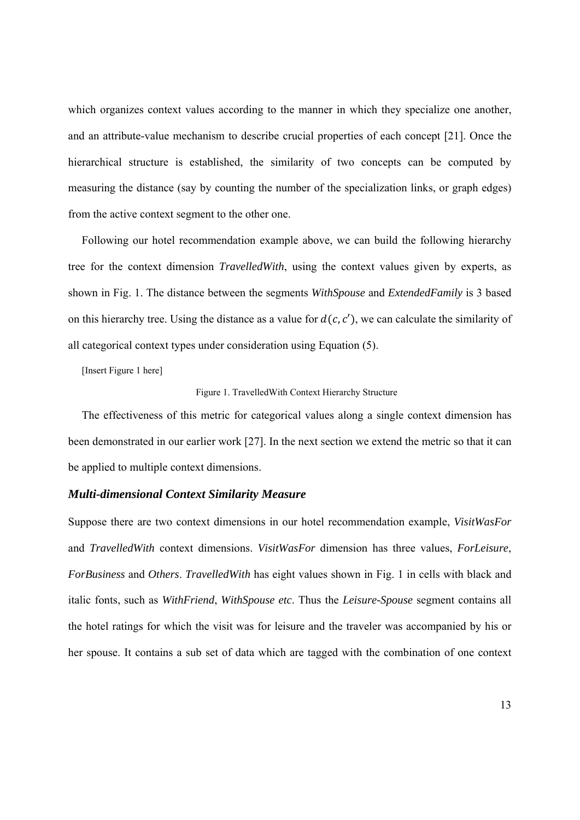which organizes context values according to the manner in which they specialize one another, and an attribute-value mechanism to describe crucial properties of each concept [21]. Once the hierarchical structure is established, the similarity of two concepts can be computed by measuring the distance (say by counting the number of the specialization links, or graph edges) from the active context segment to the other one.

Following our hotel recommendation example above, we can build the following hierarchy tree for the context dimension *TravelledWith*, using the context values given by experts, as shown in Fig. 1. The distance between the segments *WithSpouse* and *ExtendedFamily* is 3 based on this hierarchy tree. Using the distance as a value for  $d(c, c')$ , we can calculate the similarity of all categorical context types under consideration using Equation (5).

[Insert Figure 1 here]

#### Figure 1. TravelledWith Context Hierarchy Structure

The effectiveness of this metric for categorical values along a single context dimension has been demonstrated in our earlier work [27]. In the next section we extend the metric so that it can be applied to multiple context dimensions.

#### *Multi-dimensional Context Similarity Measure*

Suppose there are two context dimensions in our hotel recommendation example, *VisitWasFor* and *TravelledWith* context dimensions. *VisitWasFor* dimension has three values, *ForLeisure*, *ForBusiness* and *Others*. *TravelledWith* has eight values shown in Fig. 1 in cells with black and italic fonts, such as *WithFriend*, *WithSpouse etc*. Thus the *Leisure-Spouse* segment contains all the hotel ratings for which the visit was for leisure and the traveler was accompanied by his or her spouse. It contains a sub set of data which are tagged with the combination of one context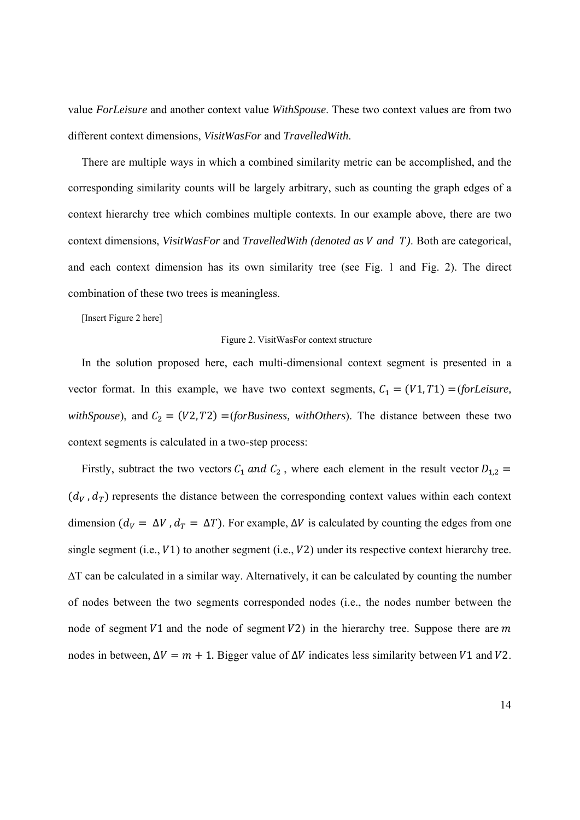value *ForLeisure* and another context value *WithSpouse*. These two context values are from two different context dimensions, *VisitWasFor* and *TravelledWith*.

There are multiple ways in which a combined similarity metric can be accomplished, and the corresponding similarity counts will be largely arbitrary, such as counting the graph edges of a context hierarchy tree which combines multiple contexts. In our example above, there are two context dimensions, *VisitWasFor* and *TravelledWith (denoted as V and T)*. Both are categorical, and each context dimension has its own similarity tree (see Fig. 1 and Fig. 2). The direct combination of these two trees is meaningless.

[Insert Figure 2 here]

#### Figure 2. VisitWasFor context structure

In the solution proposed here, each multi-dimensional context segment is presented in a vector format. In this example, we have two context segments,  $C_1 = (V1, T1) = (for Leisure,$ *withSpouse*), and  $C_2 = (V2, T2) = (for Business, with Others)$ . The distance between these two context segments is calculated in a two-step process:

Firstly, subtract the two vectors  $C_1$  and  $C_2$ , where each element in the result vector  $D_{1,2}$  =  $(d_V, d_T)$  represents the distance between the corresponding context values within each context dimension ( $d_V = \Delta V$ ,  $d_T = \Delta T$ ). For example,  $\Delta V$  is calculated by counting the edges from one single segment (i.e.,  $V1$ ) to another segment (i.e.,  $V2$ ) under its respective context hierarchy tree. ∆T can be calculated in a similar way. Alternatively, it can be calculated by counting the number of nodes between the two segments corresponded nodes (i.e., the nodes number between the node of segment  $V1$  and the node of segment  $V2$ ) in the hierarchy tree. Suppose there are m nodes in between,  $\Delta V = m + 1$ . Bigger value of  $\Delta V$  indicates less similarity between  $V1$  and  $V2$ .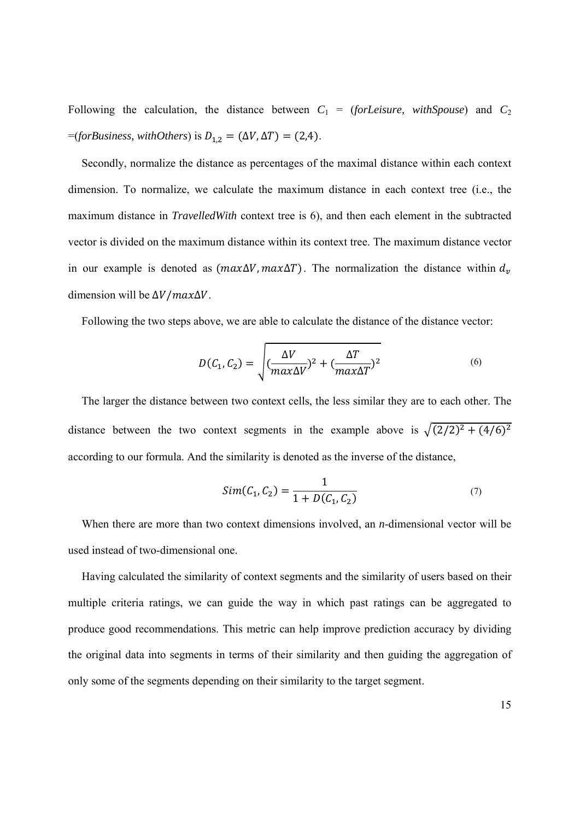Following the calculation, the distance between  $C_1$  = (*forLeisure*, *withSpouse*) and  $C_2$  $=(for Business, with Others)$  is  $D_{1,2} = (\Delta V, \Delta T) = (2,4)$ .

Secondly, normalize the distance as percentages of the maximal distance within each context dimension. To normalize, we calculate the maximum distance in each context tree (i.e., the maximum distance in *TravelledWith* context tree is 6), and then each element in the subtracted vector is divided on the maximum distance within its context tree. The maximum distance vector in our example is denoted as  $(max\Delta V, max\Delta T)$ . The normalization the distance within  $d_v$ dimension will be  $\Delta V / max \Delta V$ .

Following the two steps above, we are able to calculate the distance of the distance vector:

$$
D(C_1, C_2) = \sqrt{\left(\frac{\Delta V}{max\Delta V}\right)^2 + \left(\frac{\Delta T}{max\Delta T}\right)^2}
$$
\n(6)

The larger the distance between two context cells, the less similar they are to each other. The distance between the two context segments in the example above is  $\sqrt{(2/2)^2 + (4/6)^2}$ according to our formula. And the similarity is denoted as the inverse of the distance,

$$
Sim(C_1, C_2) = \frac{1}{1 + D(C_1, C_2)}
$$
\n(7)

When there are more than two context dimensions involved, an *n*-dimensional vector will be used instead of two-dimensional one.

Having calculated the similarity of context segments and the similarity of users based on their multiple criteria ratings, we can guide the way in which past ratings can be aggregated to produce good recommendations. This metric can help improve prediction accuracy by dividing the original data into segments in terms of their similarity and then guiding the aggregation of only some of the segments depending on their similarity to the target segment.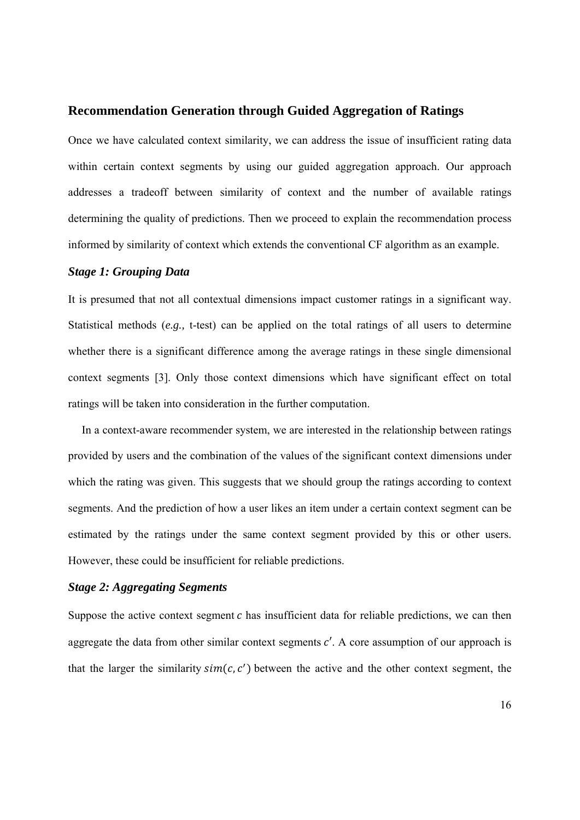## **Recommendation Generation through Guided Aggregation of Ratings**

Once we have calculated context similarity, we can address the issue of insufficient rating data within certain context segments by using our guided aggregation approach. Our approach addresses a tradeoff between similarity of context and the number of available ratings determining the quality of predictions. Then we proceed to explain the recommendation process informed by similarity of context which extends the conventional CF algorithm as an example.

## *Stage 1: Grouping Data*

It is presumed that not all contextual dimensions impact customer ratings in a significant way. Statistical methods (*e.g.,* t-test) can be applied on the total ratings of all users to determine whether there is a significant difference among the average ratings in these single dimensional context segments [3]. Only those context dimensions which have significant effect on total ratings will be taken into consideration in the further computation.

In a context-aware recommender system, we are interested in the relationship between ratings provided by users and the combination of the values of the significant context dimensions under which the rating was given. This suggests that we should group the ratings according to context segments. And the prediction of how a user likes an item under a certain context segment can be estimated by the ratings under the same context segment provided by this or other users. However, these could be insufficient for reliable predictions.

## *Stage 2: Aggregating Segments*

Suppose the active context segment  $c$  has insufficient data for reliable predictions, we can then aggregate the data from other similar context segments  $c'$ . A core assumption of our approach is that the larger the similarity  $sim(c, c')$  between the active and the other context segment, the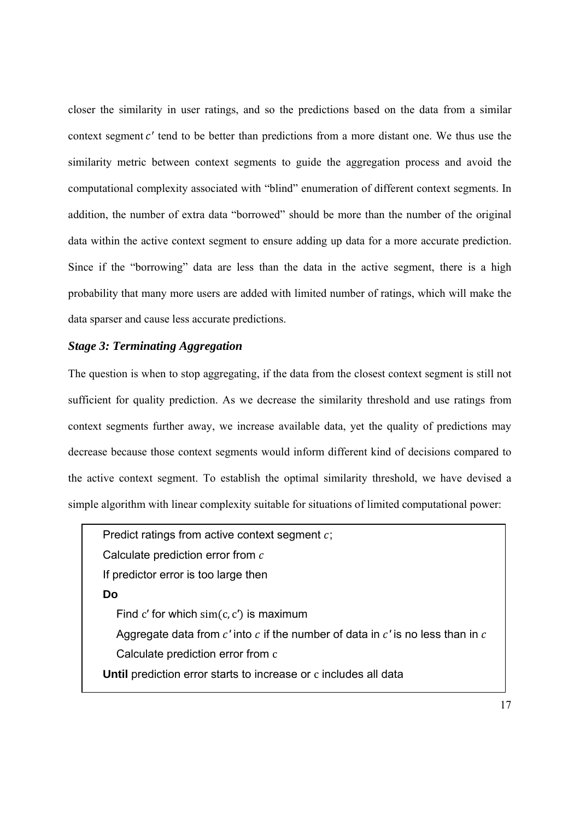closer the similarity in user ratings, and so the predictions based on the data from a similar context segment  $c'$  tend to be better than predictions from a more distant one. We thus use the similarity metric between context segments to guide the aggregation process and avoid the computational complexity associated with "blind" enumeration of different context segments. In addition, the number of extra data "borrowed" should be more than the number of the original data within the active context segment to ensure adding up data for a more accurate prediction. Since if the "borrowing" data are less than the data in the active segment, there is a high probability that many more users are added with limited number of ratings, which will make the data sparser and cause less accurate predictions.

## *Stage 3: Terminating Aggregation*

The question is when to stop aggregating, if the data from the closest context segment is still not sufficient for quality prediction. As we decrease the similarity threshold and use ratings from context segments further away, we increase available data, yet the quality of predictions may decrease because those context segments would inform different kind of decisions compared to the active context segment. To establish the optimal similarity threshold, we have devised a simple algorithm with linear complexity suitable for situations of limited computational power:

Predict ratings from active context segment  $c$ ; Calculate prediction error from  $c$ If predictor error is too large then **Do**  Find c' for which  $\sin(c, c')$  is maximum Aggregate data from  $c'$  into  $c$  if the number of data in  $c'$  is no less than in  $c$ Calculate prediction error from c **Until** prediction error starts to increase or c includes all data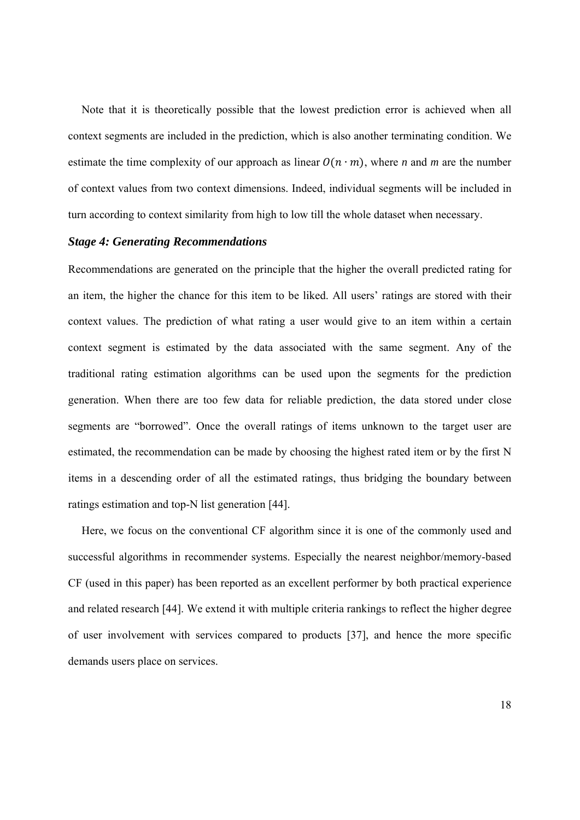Note that it is theoretically possible that the lowest prediction error is achieved when all context segments are included in the prediction, which is also another terminating condition. We estimate the time complexity of our approach as linear  $O(n \cdot m)$ , where *n* and *m* are the number of context values from two context dimensions. Indeed, individual segments will be included in turn according to context similarity from high to low till the whole dataset when necessary.

## *Stage 4: Generating Recommendations*

Recommendations are generated on the principle that the higher the overall predicted rating for an item, the higher the chance for this item to be liked. All users' ratings are stored with their context values. The prediction of what rating a user would give to an item within a certain context segment is estimated by the data associated with the same segment. Any of the traditional rating estimation algorithms can be used upon the segments for the prediction generation. When there are too few data for reliable prediction, the data stored under close segments are "borrowed". Once the overall ratings of items unknown to the target user are estimated, the recommendation can be made by choosing the highest rated item or by the first N items in a descending order of all the estimated ratings, thus bridging the boundary between ratings estimation and top-N list generation [44].

Here, we focus on the conventional CF algorithm since it is one of the commonly used and successful algorithms in recommender systems. Especially the nearest neighbor/memory-based CF (used in this paper) has been reported as an excellent performer by both practical experience and related research [44]. We extend it with multiple criteria rankings to reflect the higher degree of user involvement with services compared to products [37], and hence the more specific demands users place on services.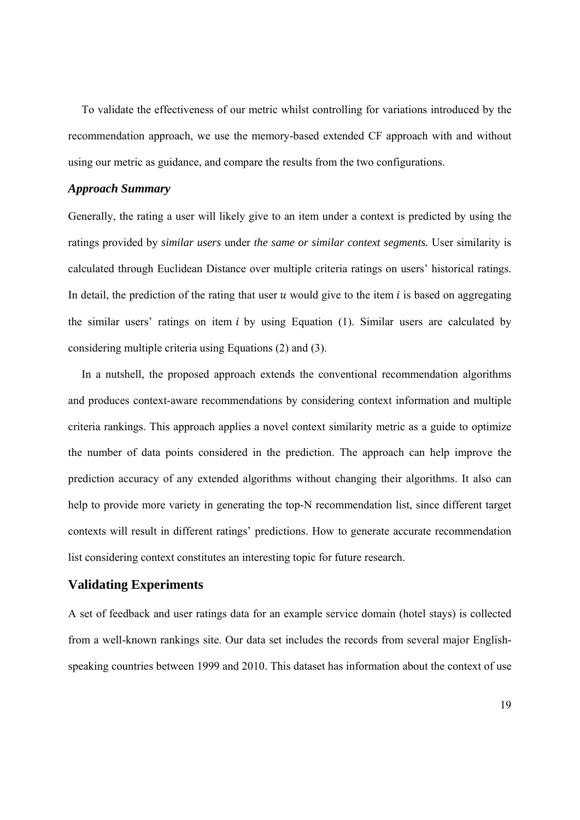To validate the effectiveness of our metric whilst controlling for variations introduced by the recommendation approach, we use the memory-based extended CF approach with and without using our metric as guidance, and compare the results from the two configurations.

### *Approach Summary*

Generally, the rating a user will likely give to an item under a context is predicted by using the ratings provided by *similar users* under *the same or similar context segments.* User similarity is calculated through Euclidean Distance over multiple criteria ratings on users' historical ratings. In detail, the prediction of the rating that user  $u$  would give to the item  $i$  is based on aggregating the similar users' ratings on item  $i$  by using Equation (1). Similar users are calculated by considering multiple criteria using Equations (2) and (3).

In a nutshell, the proposed approach extends the conventional recommendation algorithms and produces context-aware recommendations by considering context information and multiple criteria rankings. This approach applies a novel context similarity metric as a guide to optimize the number of data points considered in the prediction. The approach can help improve the prediction accuracy of any extended algorithms without changing their algorithms. It also can help to provide more variety in generating the top-N recommendation list, since different target contexts will result in different ratings' predictions. How to generate accurate recommendation list considering context constitutes an interesting topic for future research.

## **Validating Experiments**

A set of feedback and user ratings data for an example service domain (hotel stays) is collected from a well-known rankings site. Our data set includes the records from several major Englishspeaking countries between 1999 and 2010. This dataset has information about the context of use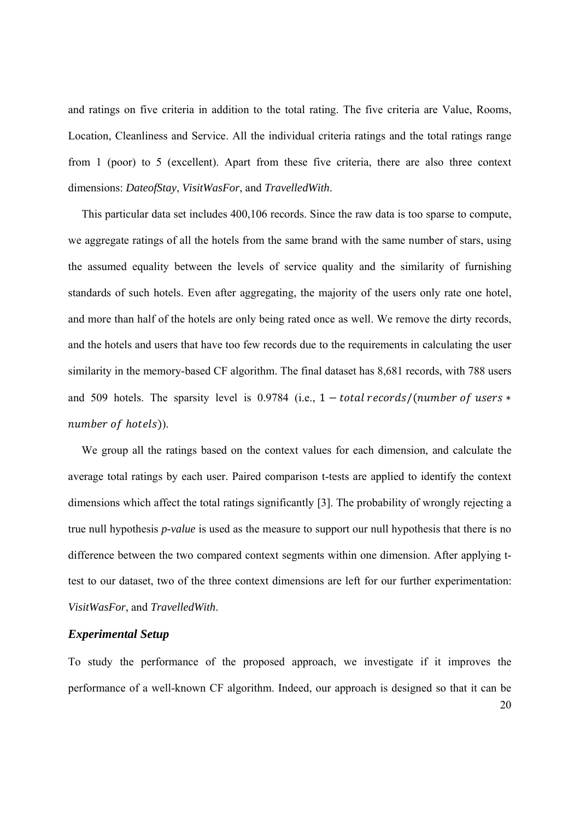and ratings on five criteria in addition to the total rating. The five criteria are Value, Rooms, Location, Cleanliness and Service. All the individual criteria ratings and the total ratings range from 1 (poor) to 5 (excellent). Apart from these five criteria, there are also three context dimensions: *DateofStay*, *VisitWasFor*, and *TravelledWith*.

This particular data set includes 400,106 records. Since the raw data is too sparse to compute, we aggregate ratings of all the hotels from the same brand with the same number of stars, using the assumed equality between the levels of service quality and the similarity of furnishing standards of such hotels. Even after aggregating, the majority of the users only rate one hotel, and more than half of the hotels are only being rated once as well. We remove the dirty records, and the hotels and users that have too few records due to the requirements in calculating the user similarity in the memory-based CF algorithm. The final dataset has 8,681 records, with 788 users and 509 hotels. The sparsity level is 0.9784 (i.e.,  $1 - total$  records/(number of users  $*$ number of hotels)).

We group all the ratings based on the context values for each dimension, and calculate the average total ratings by each user. Paired comparison t-tests are applied to identify the context dimensions which affect the total ratings significantly [3]. The probability of wrongly rejecting a true null hypothesis *p-value* is used as the measure to support our null hypothesis that there is no difference between the two compared context segments within one dimension. After applying ttest to our dataset, two of the three context dimensions are left for our further experimentation: *VisitWasFor*, and *TravelledWith*.

## *Experimental Setup*

To study the performance of the proposed approach, we investigate if it improves the performance of a well-known CF algorithm. Indeed, our approach is designed so that it can be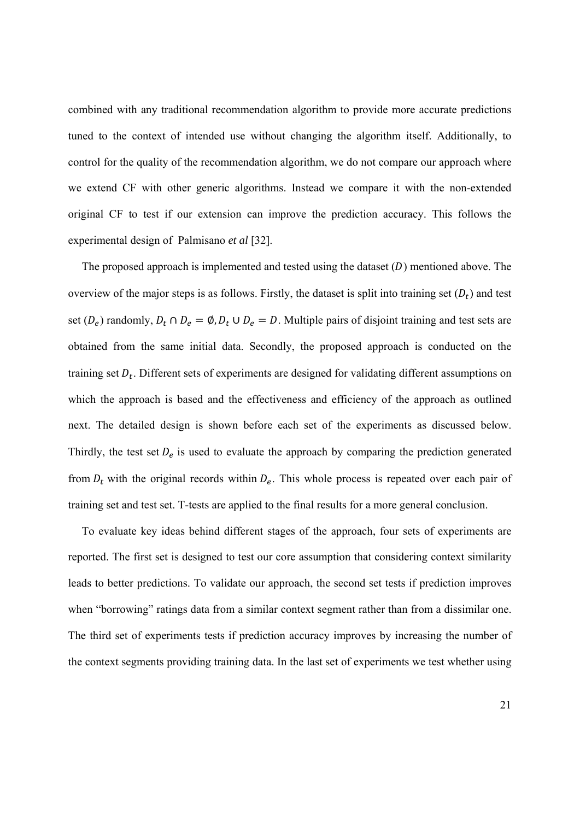combined with any traditional recommendation algorithm to provide more accurate predictions tuned to the context of intended use without changing the algorithm itself. Additionally, to control for the quality of the recommendation algorithm, we do not compare our approach where we extend CF with other generic algorithms. Instead we compare it with the non-extended original CF to test if our extension can improve the prediction accuracy. This follows the experimental design of Palmisano *et al* [32].

The proposed approach is implemented and tested using the dataset  $(D)$  mentioned above. The overview of the major steps is as follows. Firstly, the dataset is split into training set  $(D_t)$  and test set ( $D_e$ ) randomly,  $D_t \cap D_e = \emptyset$ ,  $D_t \cup D_e = D$ . Multiple pairs of disjoint training and test sets are obtained from the same initial data. Secondly, the proposed approach is conducted on the training set  $D_t$ . Different sets of experiments are designed for validating different assumptions on which the approach is based and the effectiveness and efficiency of the approach as outlined next. The detailed design is shown before each set of the experiments as discussed below. Thirdly, the test set  $D_e$  is used to evaluate the approach by comparing the prediction generated from  $D_t$  with the original records within  $D_e$ . This whole process is repeated over each pair of training set and test set. T-tests are applied to the final results for a more general conclusion.

To evaluate key ideas behind different stages of the approach, four sets of experiments are reported. The first set is designed to test our core assumption that considering context similarity leads to better predictions. To validate our approach, the second set tests if prediction improves when "borrowing" ratings data from a similar context segment rather than from a dissimilar one. The third set of experiments tests if prediction accuracy improves by increasing the number of the context segments providing training data. In the last set of experiments we test whether using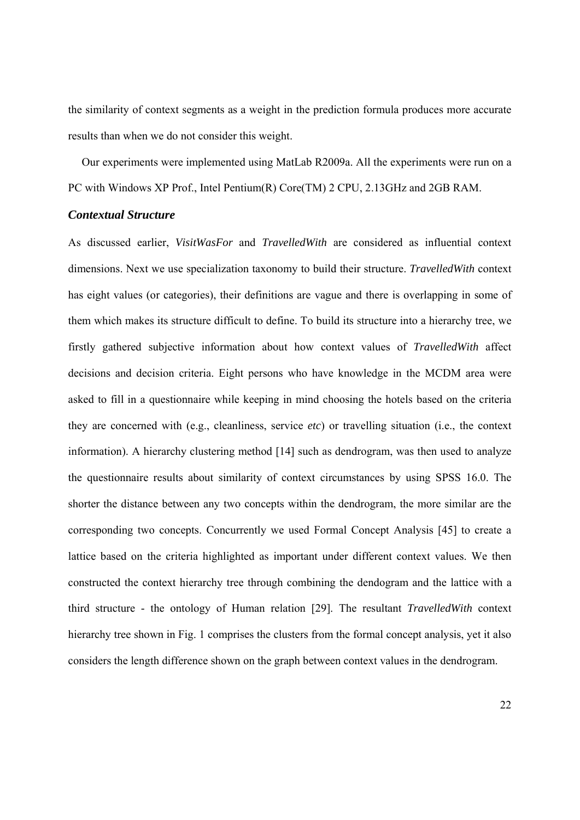the similarity of context segments as a weight in the prediction formula produces more accurate results than when we do not consider this weight.

Our experiments were implemented using MatLab R2009a. All the experiments were run on a PC with Windows XP Prof., Intel Pentium(R) Core(TM) 2 CPU, 2.13GHz and 2GB RAM.

## *Contextual Structure*

As discussed earlier, *VisitWasFor* and *TravelledWith* are considered as influential context dimensions. Next we use specialization taxonomy to build their structure. *TravelledWith* context has eight values (or categories), their definitions are vague and there is overlapping in some of them which makes its structure difficult to define. To build its structure into a hierarchy tree, we firstly gathered subjective information about how context values of *TravelledWith* affect decisions and decision criteria. Eight persons who have knowledge in the MCDM area were asked to fill in a questionnaire while keeping in mind choosing the hotels based on the criteria they are concerned with (e.g., cleanliness, service *etc*) or travelling situation (i.e., the context information). A hierarchy clustering method [14] such as dendrogram, was then used to analyze the questionnaire results about similarity of context circumstances by using SPSS 16.0. The shorter the distance between any two concepts within the dendrogram, the more similar are the corresponding two concepts. Concurrently we used Formal Concept Analysis [45] to create a lattice based on the criteria highlighted as important under different context values. We then constructed the context hierarchy tree through combining the dendogram and the lattice with a third structure - the ontology of Human relation [29]. The resultant *TravelledWith* context hierarchy tree shown in Fig. 1 comprises the clusters from the formal concept analysis, yet it also considers the length difference shown on the graph between context values in the dendrogram.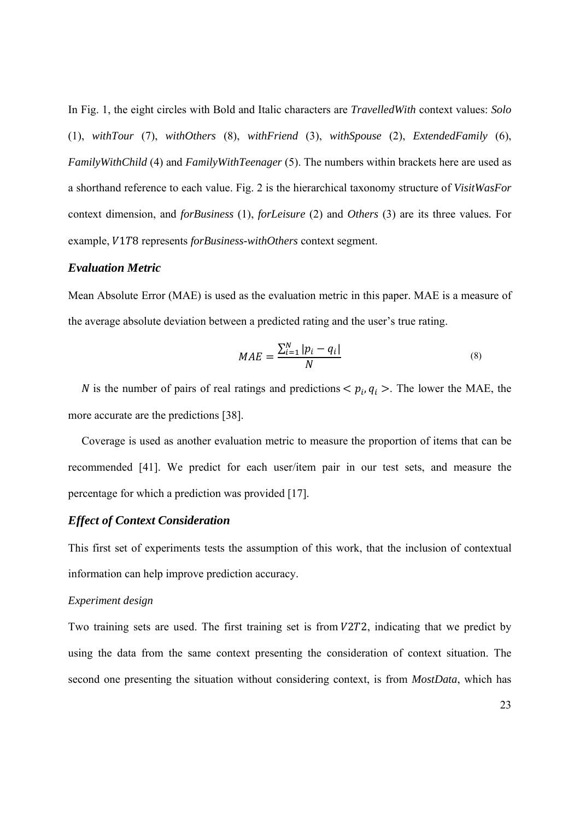In Fig. 1, the eight circles with Bold and Italic characters are *TravelledWith* context values: *Solo* (1), *withTour* (7), *withOthers* (8), *withFriend* (3), *withSpouse* (2), *ExtendedFamily* (6), *FamilyWithChild* (4) and *FamilyWithTeenager* (5). The numbers within brackets here are used as a shorthand reference to each value. Fig. 2 is the hierarchical taxonomy structure of *VisitWasFor* context dimension, and *forBusiness* (1), *forLeisure* (2) and *Others* (3) are its three values*.* For example, V1T8 represents *forBusiness-withOthers* context segment.

#### *Evaluation Metric*

Mean Absolute Error (MAE) is used as the evaluation metric in this paper. MAE is a measure of the average absolute deviation between a predicted rating and the user's true rating.

$$
MAE = \frac{\sum_{i=1}^{N} |p_i - q_i|}{N}
$$
\n<sup>(8)</sup>

N is the number of pairs of real ratings and predictions  $\langle p_i, q_i \rangle$ . The lower the MAE, the more accurate are the predictions [38].

Coverage is used as another evaluation metric to measure the proportion of items that can be recommended [41]. We predict for each user/item pair in our test sets, and measure the percentage for which a prediction was provided [17].

## *Effect of Context Consideration*

This first set of experiments tests the assumption of this work, that the inclusion of contextual information can help improve prediction accuracy.

#### *Experiment design*

Two training sets are used. The first training set is from  $V2T2$ , indicating that we predict by using the data from the same context presenting the consideration of context situation. The second one presenting the situation without considering context, is from *MostData*, which has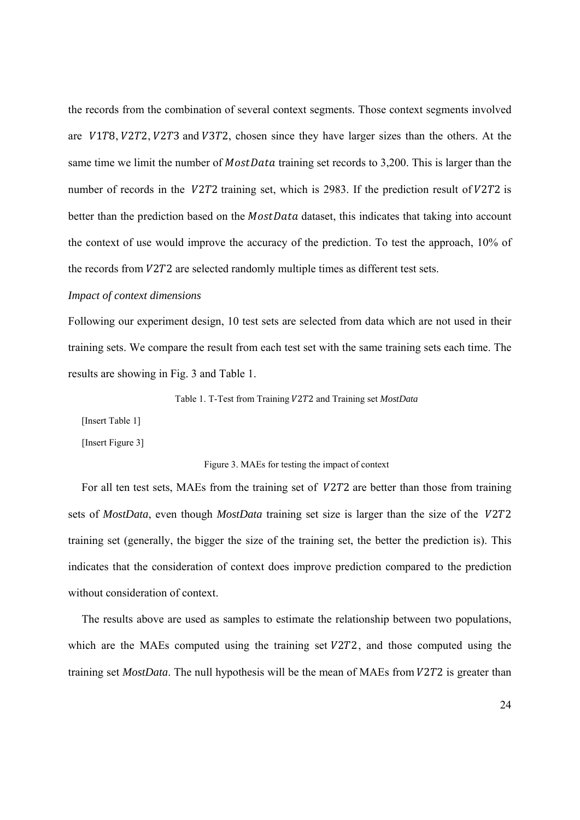the records from the combination of several context segments. Those context segments involved are V1T8, V2T2, V2T3 and V3T2, chosen since they have larger sizes than the others. At the same time we limit the number of *MostData* training set records to 3,200. This is larger than the number of records in the  $V2T2$  training set, which is 2983. If the prediction result of  $V2T2$  is better than the prediction based on the *MostData* dataset, this indicates that taking into account the context of use would improve the accuracy of the prediction. To test the approach, 10% of the records from  $V2T2$  are selected randomly multiple times as different test sets.

#### *Impact of context dimensions*

Following our experiment design, 10 test sets are selected from data which are not used in their training sets. We compare the result from each test set with the same training sets each time. The results are showing in Fig. 3 and Table 1.

#### Table 1. T-Test from Training  $V2T2$  and Training set *MostData*

[Insert Table 1]

[Insert Figure 3]

#### Figure 3. MAEs for testing the impact of context

For all ten test sets, MAEs from the training set of V2T2 are better than those from training sets of *MostData*, even though *MostData* training set size is larger than the size of the V2T2 training set (generally, the bigger the size of the training set, the better the prediction is). This indicates that the consideration of context does improve prediction compared to the prediction without consideration of context.

The results above are used as samples to estimate the relationship between two populations, which are the MAEs computed using the training set  $V2T2$ , and those computed using the training set *MostData*. The null hypothesis will be the mean of MAEs from  $V2T2$  is greater than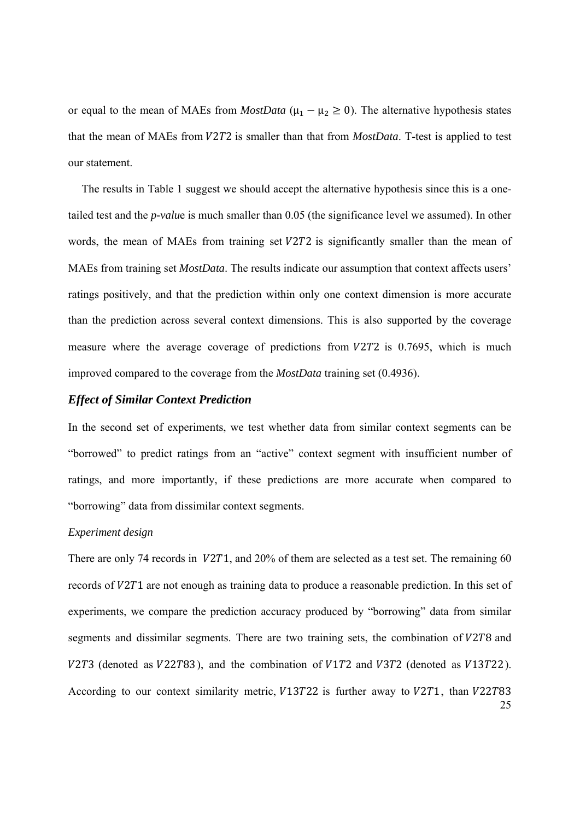or equal to the mean of MAEs from *MostData* ( $\mu_1 - \mu_2 \ge 0$ ). The alternative hypothesis states that the mean of MAEs from  $V2T2$  is smaller than that from *MostData*. T-test is applied to test our statement.

The results in Table 1 suggest we should accept the alternative hypothesis since this is a onetailed test and the *p-valu*e is much smaller than 0.05 (the significance level we assumed). In other words, the mean of MAEs from training set  $V2T2$  is significantly smaller than the mean of MAEs from training set *MostData*. The results indicate our assumption that context affects users' ratings positively, and that the prediction within only one context dimension is more accurate than the prediction across several context dimensions. This is also supported by the coverage measure where the average coverage of predictions from  $V2T2$  is 0.7695, which is much improved compared to the coverage from the *MostData* training set (0.4936).

## *Effect of Similar Context Prediction*

In the second set of experiments, we test whether data from similar context segments can be "borrowed" to predict ratings from an "active" context segment with insufficient number of ratings, and more importantly, if these predictions are more accurate when compared to "borrowing" data from dissimilar context segments.

## *Experiment design*

25 There are only 74 records in  $V2T1$ , and 20% of them are selected as a test set. The remaining 60 records of V2T1 are not enough as training data to produce a reasonable prediction. In this set of experiments, we compare the prediction accuracy produced by "borrowing" data from similar segments and dissimilar segments. There are two training sets, the combination of  $V2T8$  and  $V2T3$  (denoted as  $V22T83$ ), and the combination of  $V1T2$  and  $V3T2$  (denoted as  $V13T22$ ). According to our context similarity metric,  $V13T22$  is further away to  $V2T1$ , than  $V22T83$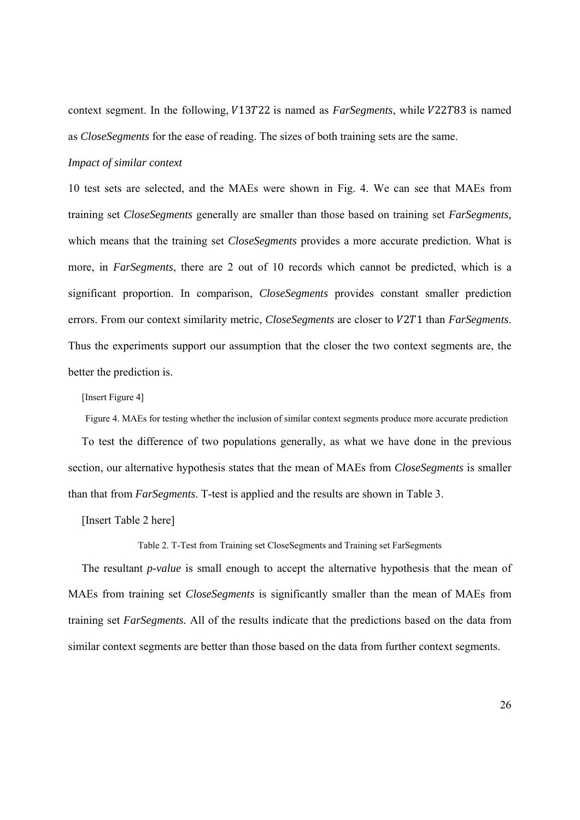context segment. In the following,  $V13T22$  is named as *FarSegments*, while  $V22T83$  is named as *CloseSegments* for the ease of reading. The sizes of both training sets are the same.

#### *Impact of similar context*

10 test sets are selected, and the MAEs were shown in Fig. 4. We can see that MAEs from training set *CloseSegments* generally are smaller than those based on training set *FarSegments,* which means that the training set *CloseSegments* provides a more accurate prediction. What is more, in *FarSegments*, there are 2 out of 10 records which cannot be predicted, which is a significant proportion. In comparison, *CloseSegments* provides constant smaller prediction errors. From our context similarity metric, *CloseSegments* are closer to *V2T1* than *FarSegments*. Thus the experiments support our assumption that the closer the two context segments are, the better the prediction is.

[Insert Figure 4]

Figure 4. MAEs for testing whether the inclusion of similar context segments produce more accurate prediction

To test the difference of two populations generally, as what we have done in the previous section, our alternative hypothesis states that the mean of MAEs from *CloseSegments* is smaller than that from *FarSegments*. T-test is applied and the results are shown in Table 3.

[Insert Table 2 here]

Table 2. T-Test from Training set CloseSegments and Training set FarSegments

The resultant *p-value* is small enough to accept the alternative hypothesis that the mean of MAEs from training set *CloseSegments* is significantly smaller than the mean of MAEs from training set *FarSegments.* All of the results indicate that the predictions based on the data from similar context segments are better than those based on the data from further context segments.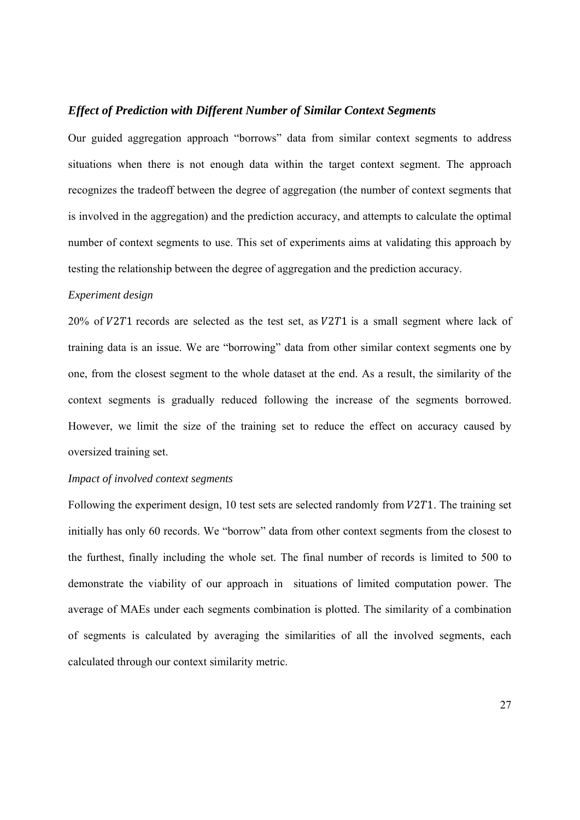#### *Effect of Prediction with Different Number of Similar Context Segments*

Our guided aggregation approach "borrows" data from similar context segments to address situations when there is not enough data within the target context segment. The approach recognizes the tradeoff between the degree of aggregation (the number of context segments that is involved in the aggregation) and the prediction accuracy, and attempts to calculate the optimal number of context segments to use. This set of experiments aims at validating this approach by testing the relationship between the degree of aggregation and the prediction accuracy.

## *Experiment design*

 $20\%$  of  $V2T1$  records are selected as the test set, as  $V2T1$  is a small segment where lack of training data is an issue. We are "borrowing" data from other similar context segments one by one, from the closest segment to the whole dataset at the end. As a result, the similarity of the context segments is gradually reduced following the increase of the segments borrowed. However, we limit the size of the training set to reduce the effect on accuracy caused by oversized training set.

## *Impact of involved context segments*

Following the experiment design, 10 test sets are selected randomly from  $V2T1$ . The training set initially has only 60 records. We "borrow" data from other context segments from the closest to the furthest, finally including the whole set. The final number of records is limited to 500 to demonstrate the viability of our approach in situations of limited computation power. The average of MAEs under each segments combination is plotted. The similarity of a combination of segments is calculated by averaging the similarities of all the involved segments, each calculated through our context similarity metric.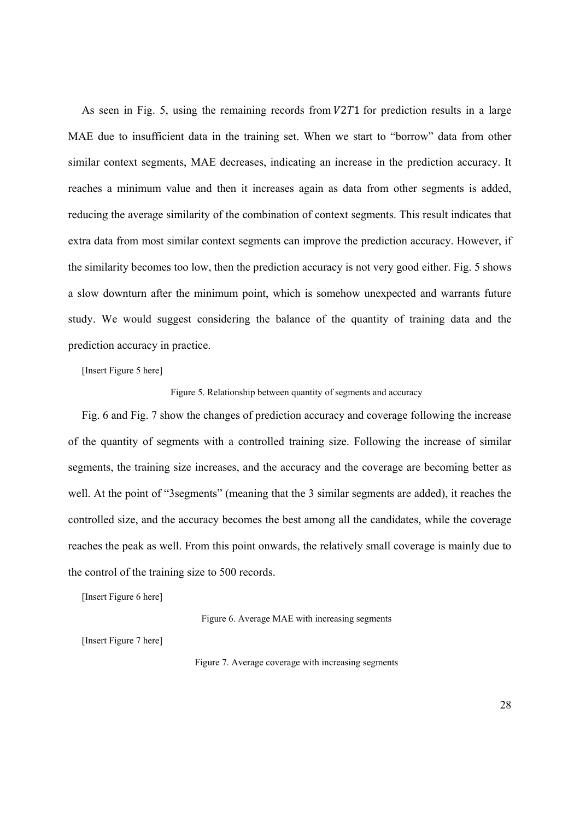As seen in Fig. 5, using the remaining records from  $V2T1$  for prediction results in a large MAE due to insufficient data in the training set. When we start to "borrow" data from other similar context segments, MAE decreases, indicating an increase in the prediction accuracy. It reaches a minimum value and then it increases again as data from other segments is added, reducing the average similarity of the combination of context segments. This result indicates that extra data from most similar context segments can improve the prediction accuracy. However, if the similarity becomes too low, then the prediction accuracy is not very good either. Fig. 5 shows a slow downturn after the minimum point, which is somehow unexpected and warrants future study. We would suggest considering the balance of the quantity of training data and the prediction accuracy in practice.

[Insert Figure 5 here]

Figure 5. Relationship between quantity of segments and accuracy

Fig. 6 and Fig. 7 show the changes of prediction accuracy and coverage following the increase of the quantity of segments with a controlled training size. Following the increase of similar segments, the training size increases, and the accuracy and the coverage are becoming better as well. At the point of "3segments" (meaning that the 3 similar segments are added), it reaches the controlled size, and the accuracy becomes the best among all the candidates, while the coverage reaches the peak as well. From this point onwards, the relatively small coverage is mainly due to the control of the training size to 500 records.

[Insert Figure 6 here]

Figure 6. Average MAE with increasing segments

[Insert Figure 7 here]

Figure 7. Average coverage with increasing segments

28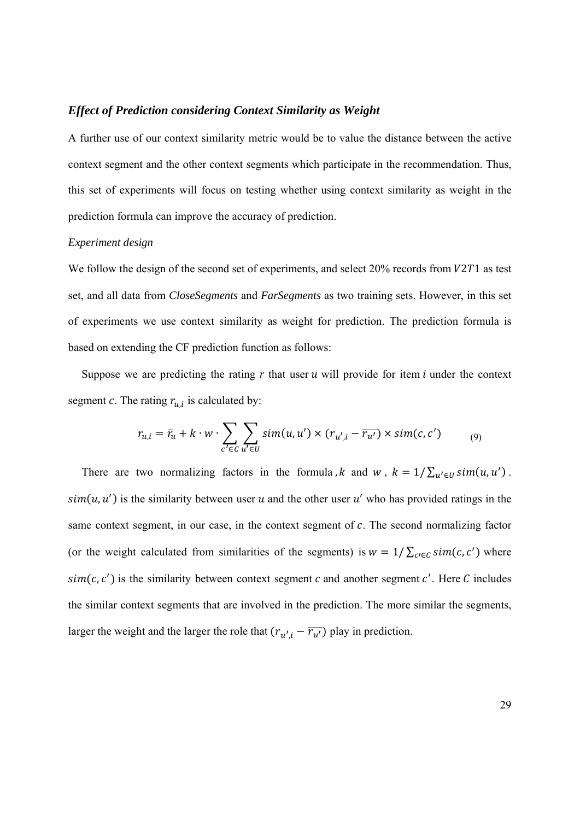#### *Effect of Prediction considering Context Similarity as Weight*

A further use of our context similarity metric would be to value the distance between the active context segment and the other context segments which participate in the recommendation. Thus, this set of experiments will focus on testing whether using context similarity as weight in the prediction formula can improve the accuracy of prediction.

#### *Experiment design*

We follow the design of the second set of experiments, and select  $20\%$  records from  $V2T1$  as test set, and all data from *CloseSegments* and *FarSegments* as two training sets. However, in this set of experiments we use context similarity as weight for prediction. The prediction formula is based on extending the CF prediction function as follows:

Suppose we are predicting the rating  $r$  that user  $u$  will provide for item  $i$  under the context segment *c*. The rating  $r_{u,i}$  is calculated by:

$$
r_{u,i} = \bar{r}_u + k \cdot w \cdot \sum_{c' \in C} \sum_{u' \in U} sim(u, u') \times (r_{u',i} - \overline{r_{u'}}) \times sim(c, c') \tag{9}
$$

There are two normalizing factors in the formula, k and w,  $k = 1/\sum_{u' \in U} sim(u, u')$ .  $sim(u, u')$  is the similarity between user u and the other user u' who has provided ratings in the same context segment, in our case, in the context segment of  $c$ . The second normalizing factor (or the weight calculated from similarities of the segments) is  $w = 1/\sum_{c \in \mathcal{C}} \sin(c, c')$  where  $sim(c, c')$  is the similarity between context segment c and another segment c'. Here C includes the similar context segments that are involved in the prediction. The more similar the segments, larger the weight and the larger the role that  $(r_{u',i} - \overline{r_{u'}})$  play in prediction.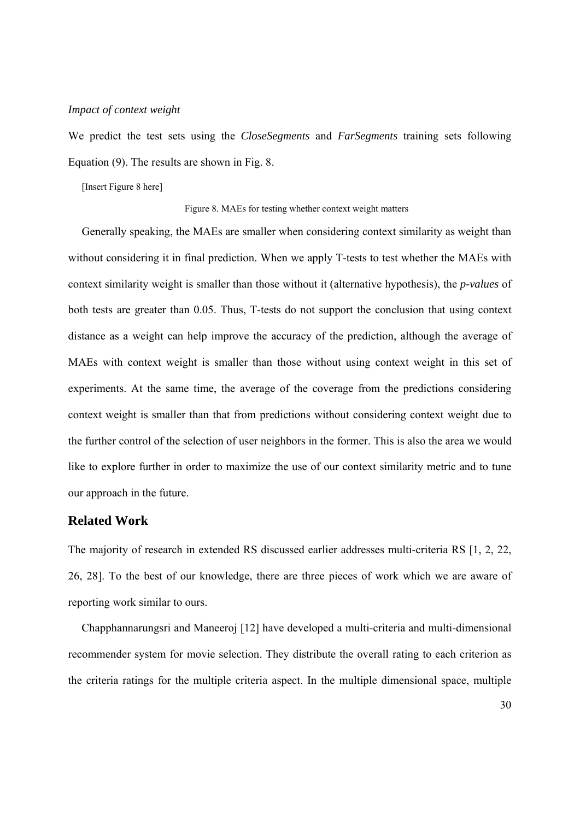#### *Impact of context weight*

We predict the test sets using the *CloseSegments* and *FarSegments* training sets following Equation (9). The results are shown in Fig. 8.

[Insert Figure 8 here]

#### Figure 8. MAEs for testing whether context weight matters

Generally speaking, the MAEs are smaller when considering context similarity as weight than without considering it in final prediction. When we apply T-tests to test whether the MAEs with context similarity weight is smaller than those without it (alternative hypothesis), the *p-values* of both tests are greater than 0.05. Thus, T-tests do not support the conclusion that using context distance as a weight can help improve the accuracy of the prediction, although the average of MAEs with context weight is smaller than those without using context weight in this set of experiments. At the same time, the average of the coverage from the predictions considering context weight is smaller than that from predictions without considering context weight due to the further control of the selection of user neighbors in the former. This is also the area we would like to explore further in order to maximize the use of our context similarity metric and to tune our approach in the future.

## **Related Work**

The majority of research in extended RS discussed earlier addresses multi-criteria RS [1, 2, 22, 26, 28]. To the best of our knowledge, there are three pieces of work which we are aware of reporting work similar to ours.

Chapphannarungsri and Maneeroj [12] have developed a multi-criteria and multi-dimensional recommender system for movie selection. They distribute the overall rating to each criterion as the criteria ratings for the multiple criteria aspect. In the multiple dimensional space, multiple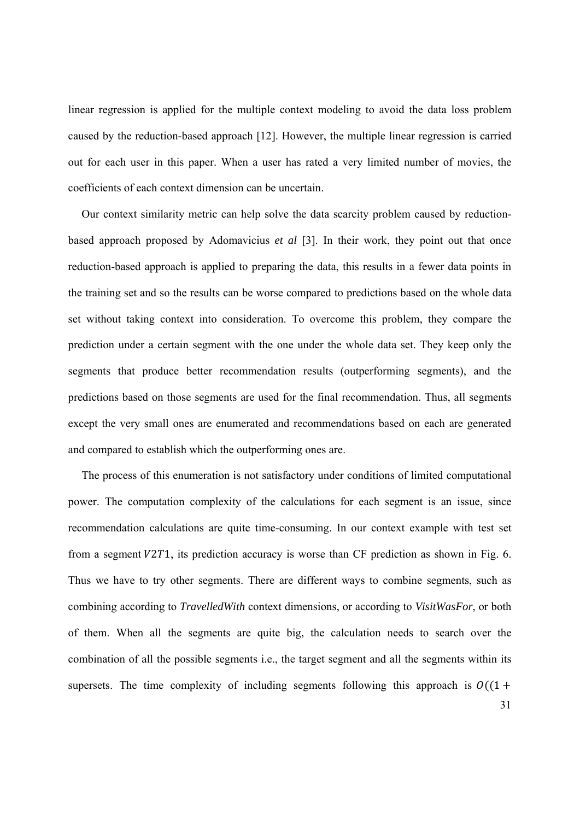linear regression is applied for the multiple context modeling to avoid the data loss problem caused by the reduction-based approach [12]. However, the multiple linear regression is carried out for each user in this paper. When a user has rated a very limited number of movies, the coefficients of each context dimension can be uncertain.

Our context similarity metric can help solve the data scarcity problem caused by reductionbased approach proposed by Adomavicius *et al* [3]. In their work, they point out that once reduction-based approach is applied to preparing the data, this results in a fewer data points in the training set and so the results can be worse compared to predictions based on the whole data set without taking context into consideration. To overcome this problem, they compare the prediction under a certain segment with the one under the whole data set. They keep only the segments that produce better recommendation results (outperforming segments), and the predictions based on those segments are used for the final recommendation. Thus, all segments except the very small ones are enumerated and recommendations based on each are generated and compared to establish which the outperforming ones are.

The process of this enumeration is not satisfactory under conditions of limited computational power. The computation complexity of the calculations for each segment is an issue, since recommendation calculations are quite time-consuming. In our context example with test set from a segment  $V2T1$ , its prediction accuracy is worse than CF prediction as shown in Fig. 6. Thus we have to try other segments. There are different ways to combine segments, such as combining according to *TravelledWith* context dimensions, or according to *VisitWasFor*, or both of them. When all the segments are quite big, the calculation needs to search over the combination of all the possible segments i.e., the target segment and all the segments within its supersets. The time complexity of including segments following this approach is  $O((1 +$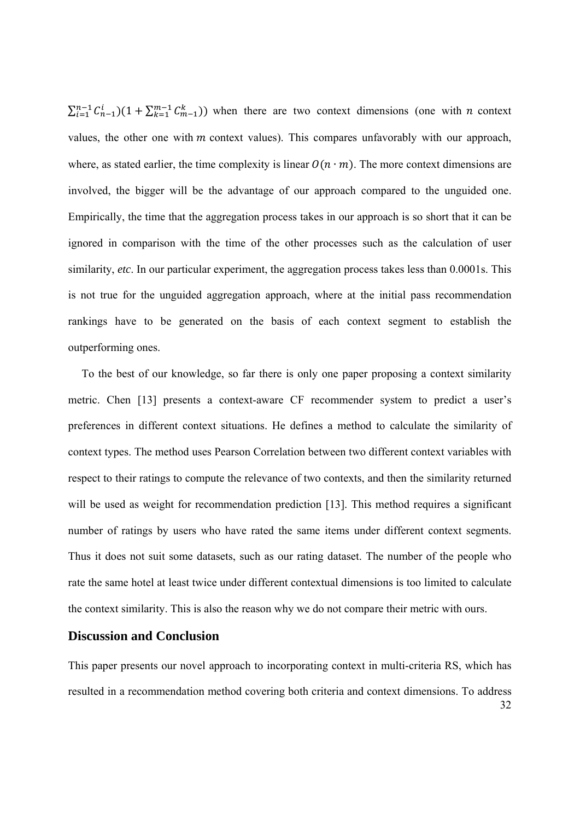$\sum_{i=1}^{n-1} C_{n-1}^i (1 + \sum_{k=1}^{m-1} C_{m-1}^k)$  when there are two context dimensions (one with *n* context values, the other one with  $m$  context values). This compares unfavorably with our approach, where, as stated earlier, the time complexity is linear  $O(n \cdot m)$ . The more context dimensions are involved, the bigger will be the advantage of our approach compared to the unguided one. Empirically, the time that the aggregation process takes in our approach is so short that it can be ignored in comparison with the time of the other processes such as the calculation of user similarity, *etc*. In our particular experiment, the aggregation process takes less than 0.0001s. This is not true for the unguided aggregation approach, where at the initial pass recommendation rankings have to be generated on the basis of each context segment to establish the outperforming ones.

To the best of our knowledge, so far there is only one paper proposing a context similarity metric. Chen [13] presents a context-aware CF recommender system to predict a user's preferences in different context situations. He defines a method to calculate the similarity of context types. The method uses Pearson Correlation between two different context variables with respect to their ratings to compute the relevance of two contexts, and then the similarity returned will be used as weight for recommendation prediction [13]. This method requires a significant number of ratings by users who have rated the same items under different context segments. Thus it does not suit some datasets, such as our rating dataset. The number of the people who rate the same hotel at least twice under different contextual dimensions is too limited to calculate the context similarity. This is also the reason why we do not compare their metric with ours.

## **Discussion and Conclusion**

32 This paper presents our novel approach to incorporating context in multi-criteria RS, which has resulted in a recommendation method covering both criteria and context dimensions. To address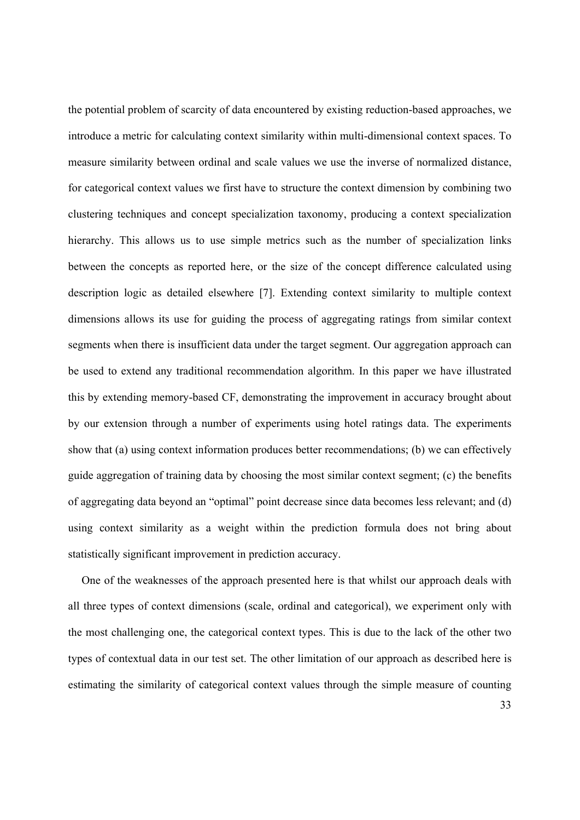the potential problem of scarcity of data encountered by existing reduction-based approaches, we introduce a metric for calculating context similarity within multi-dimensional context spaces. To measure similarity between ordinal and scale values we use the inverse of normalized distance, for categorical context values we first have to structure the context dimension by combining two clustering techniques and concept specialization taxonomy, producing a context specialization hierarchy. This allows us to use simple metrics such as the number of specialization links between the concepts as reported here, or the size of the concept difference calculated using description logic as detailed elsewhere [7]. Extending context similarity to multiple context dimensions allows its use for guiding the process of aggregating ratings from similar context segments when there is insufficient data under the target segment. Our aggregation approach can be used to extend any traditional recommendation algorithm. In this paper we have illustrated this by extending memory-based CF, demonstrating the improvement in accuracy brought about by our extension through a number of experiments using hotel ratings data. The experiments show that (a) using context information produces better recommendations; (b) we can effectively guide aggregation of training data by choosing the most similar context segment; (c) the benefits of aggregating data beyond an "optimal" point decrease since data becomes less relevant; and (d) using context similarity as a weight within the prediction formula does not bring about statistically significant improvement in prediction accuracy.

One of the weaknesses of the approach presented here is that whilst our approach deals with all three types of context dimensions (scale, ordinal and categorical), we experiment only with the most challenging one, the categorical context types. This is due to the lack of the other two types of contextual data in our test set. The other limitation of our approach as described here is estimating the similarity of categorical context values through the simple measure of counting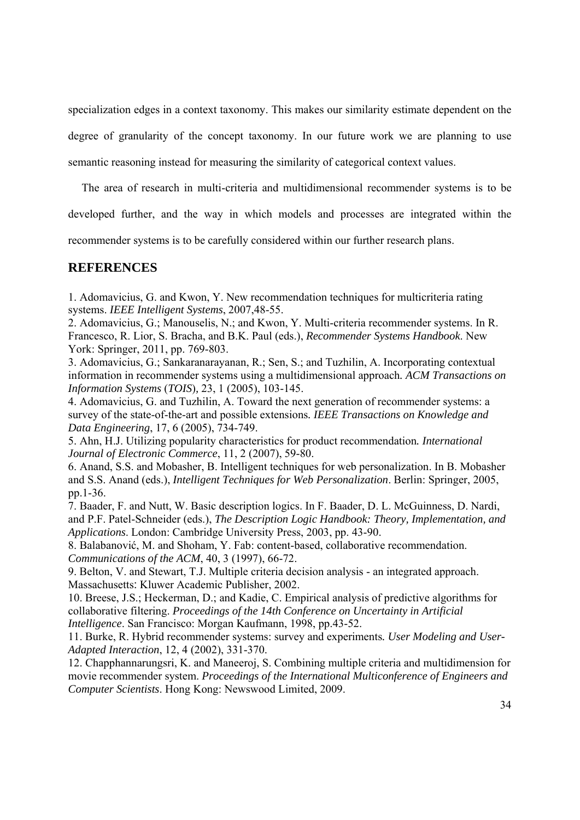specialization edges in a context taxonomy. This makes our similarity estimate dependent on the degree of granularity of the concept taxonomy. In our future work we are planning to use semantic reasoning instead for measuring the similarity of categorical context values.

The area of research in multi-criteria and multidimensional recommender systems is to be

developed further, and the way in which models and processes are integrated within the

recommender systems is to be carefully considered within our further research plans.

## **REFERENCES**

1. Adomavicius, G. and Kwon, Y. New recommendation techniques for multicriteria rating systems. *IEEE Intelligent Systems*, 2007,48-55.

2. Adomavicius, G.; Manouselis, N.; and Kwon, Y. Multi-criteria recommender systems. In R. Francesco, R. Lior, S. Bracha, and B.K. Paul (eds.), *Recommender Systems Handbook*. New York: Springer, 2011, pp. 769-803.

3. Adomavicius, G.; Sankaranarayanan, R.; Sen, S.; and Tuzhilin, A. Incorporating contextual information in recommender systems using a multidimensional approach*. ACM Transactions on Information Systems* (*TOIS*)*,* 23, 1 (2005), 103-145.

4. Adomavicius, G. and Tuzhilin, A. Toward the next generation of recommender systems: a survey of the state-of-the-art and possible extensions*. IEEE Transactions on Knowledge and Data Engineering*, 17, 6 (2005), 734-749.

5. Ahn, H.J. Utilizing popularity characteristics for product recommendation*. International Journal of Electronic Commerce*, 11, 2 (2007), 59-80.

6. Anand, S.S. and Mobasher, B. Intelligent techniques for web personalization. In B. Mobasher and S.S. Anand (eds.), *Intelligent Techniques for Web Personalization*. Berlin: Springer, 2005, pp.1-36.

7. Baader, F. and Nutt, W. Basic description logics. In F. Baader, D. L. McGuinness, D. Nardi, and P.F. Patel-Schneider (eds.), *The Description Logic Handbook: Theory, Implementation, and Applications*. London: Cambridge University Press, 2003, pp. 43-90.

8. Balabanović, M. and Shoham, Y. Fab: content-based, collaborative recommendation. *Communications of the ACM*, 40, 3 (1997), 66-72.

9. Belton, V. and Stewart, T.J. Multiple criteria decision analysis - an integrated approach. Massachusetts: Kluwer Academic Publisher, 2002.

10. Breese, J.S.; Heckerman, D.; and Kadie, C. Empirical analysis of predictive algorithms for collaborative filtering. *Proceedings of the 14th Conference on Uncertainty in Artificial Intelligence*. San Francisco: Morgan Kaufmann, 1998, pp.43-52.

11. Burke, R. Hybrid recommender systems: survey and experiments*. User Modeling and User-Adapted Interaction*, 12, 4 (2002), 331-370.

12. Chapphannarungsri, K. and Maneeroj, S. Combining multiple criteria and multidimension for movie recommender system. *Proceedings of the International Multiconference of Engineers and Computer Scientists*. Hong Kong: Newswood Limited, 2009.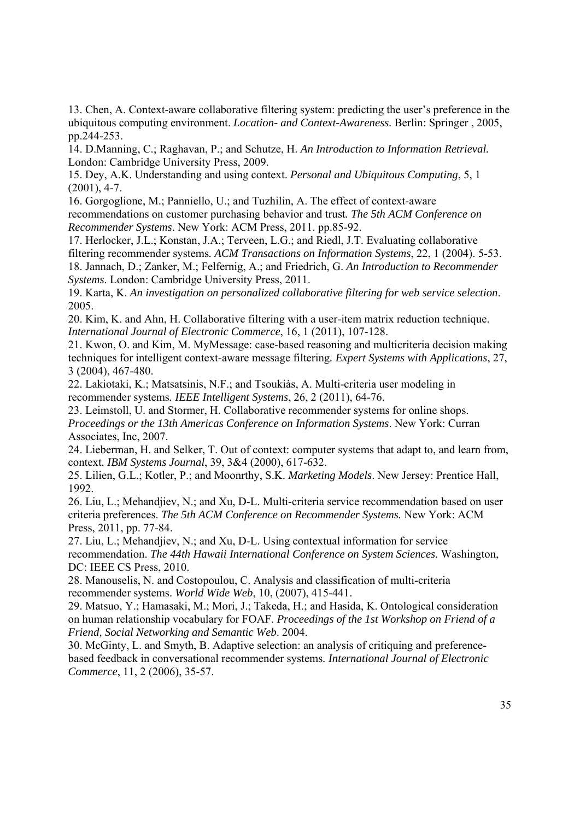13. Chen, A. Context-aware collaborative filtering system: predicting the user's preference in the ubiquitous computing environment. *Location- and Context-Awareness.* Berlin: Springer , 2005, pp.244-253.

14. D.Manning, C.; Raghavan, P.; and Schutze, H. *An Introduction to Information Retrieval.*  London: Cambridge University Press, 2009.

15. Dey, A.K. Understanding and using context. *Personal and Ubiquitous Computing*, 5, 1 (2001), 4-7.

16. Gorgoglione, M.; Panniello, U.; and Tuzhilin, A. The effect of context-aware recommendations on customer purchasing behavior and trust*. The 5th ACM Conference on Recommender Systems*. New York: ACM Press, 2011. pp.85-92.

17. Herlocker, J.L.; Konstan, J.A.; Terveen, L.G.; and Riedl, J.T. Evaluating collaborative filtering recommender systems*. ACM Transactions on Information Systems*, 22, 1 (2004). 5-53. 18. Jannach, D.; Zanker, M.; Felfernig, A.; and Friedrich, G. *An Introduction to Recommender Systems*. London: Cambridge University Press, 2011.

19. Karta, K. *An investigation on personalized collaborative filtering for web service selection*. 2005.

20. Kim, K. and Ahn, H. Collaborative filtering with a user-item matrix reduction technique. *International Journal of Electronic Commerce*, 16, 1 (2011), 107-128.

21. Kwon, O. and Kim, M. MyMessage: case-based reasoning and multicriteria decision making techniques for intelligent context-aware message filtering*. Expert Systems with Applications*, 27, 3 (2004), 467-480.

22. Lakiotaki, K.; Matsatsinis, N.F.; and Tsoukiàs, A. Multi-criteria user modeling in recommender systems*. IEEE Intelligent Systems*, 26, 2 (2011), 64-76.

23. Leimstoll, U. and Stormer, H. Collaborative recommender systems for online shops. *Proceedings or the 13th Americas Conference on Information Systems*. New York: Curran Associates, Inc, 2007.

24. Lieberman, H. and Selker, T. Out of context: computer systems that adapt to, and learn from, context*. IBM Systems Journal*, 39, 3&4 (2000), 617-632.

25. Lilien, G.L.; Kotler, P.; and Moonrthy, S.K. *Marketing Models*. New Jersey: Prentice Hall, 1992.

26. Liu, L.; Mehandjiev, N.; and Xu, D-L. Multi-criteria service recommendation based on user criteria preferences. *The 5th ACM Conference on Recommender Systems.* New York: ACM Press, 2011, pp. 77-84.

27. Liu, L.; Mehandjiev, N.; and Xu, D-L. Using contextual information for service recommendation. *The 44th Hawaii International Conference on System Sciences*. Washington, DC: IEEE CS Press, 2010.

28. Manouselis, N. and Costopoulou, C. Analysis and classification of multi-criteria recommender systems. *World Wide Web*, 10, (2007), 415-441.

29. Matsuo, Y.; Hamasaki, M.; Mori, J.; Takeda, H.; and Hasida, K. Ontological consideration on human relationship vocabulary for FOAF. *Proceedings of the 1st Workshop on Friend of a Friend, Social Networking and Semantic Web*. 2004.

30. McGinty, L. and Smyth, B. Adaptive selection: an analysis of critiquing and preferencebased feedback in conversational recommender systems*. International Journal of Electronic Commerce*, 11, 2 (2006), 35-57.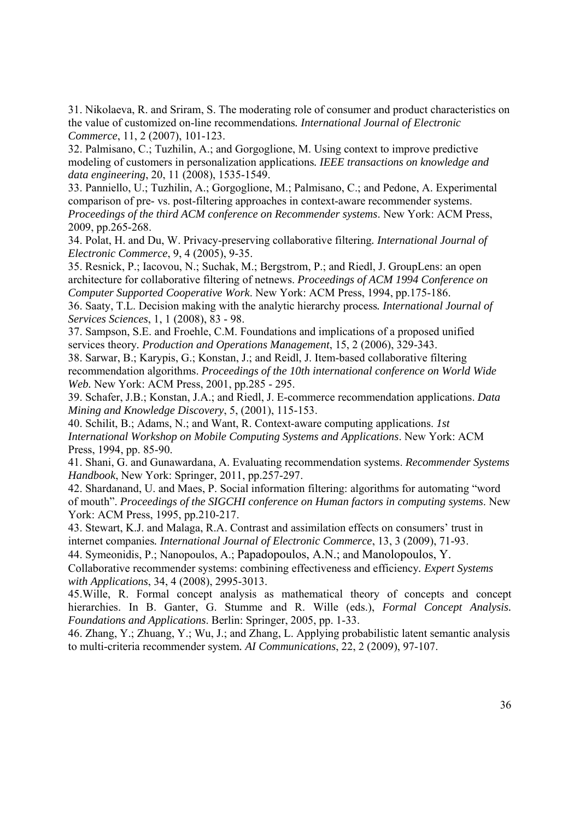31. Nikolaeva, R. and Sriram, S. The moderating role of consumer and product characteristics on the value of customized on-line recommendations*. International Journal of Electronic Commerce*, 11, 2 (2007), 101-123.

32. Palmisano, C.; Tuzhilin, A.; and Gorgoglione, M. Using context to improve predictive modeling of customers in personalization applications*. IEEE transactions on knowledge and data engineering*, 20, 11 (2008), 1535-1549.

33. Panniello, U.; Tuzhilin, A.; Gorgoglione, M.; Palmisano, C.; and Pedone, A. Experimental comparison of pre- vs. post-filtering approaches in context-aware recommender systems. *Proceedings of the third ACM conference on Recommender systems*. New York: ACM Press, 2009, pp.265-268.

34. Polat, H. and Du, W. Privacy-preserving collaborative filtering*. International Journal of Electronic Commerce*, 9, 4 (2005), 9-35.

35. Resnick, P.; Iacovou, N.; Suchak, M.; Bergstrom, P.; and Riedl, J. GroupLens: an open architecture for collaborative filtering of netnews. *Proceedings of ACM 1994 Conference on Computer Supported Cooperative Work*. New York: ACM Press, 1994, pp.175-186.

36. Saaty, T.L. Decision making with the analytic hierarchy process*. International Journal of Services Sciences*, 1, 1 (2008), 83 - 98.

37. Sampson, S.E. and Froehle, C.M. Foundations and implications of a proposed unified services theory*. Production and Operations Management*, 15, 2 (2006), 329-343.

38. Sarwar, B.; Karypis, G.; Konstan, J.; and Reidl, J. Item-based collaborative filtering recommendation algorithms. *Proceedings of the 10th international conference on World Wide Web.* New York: ACM Press, 2001, pp.285 - 295.

39. Schafer, J.B.; Konstan, J.A.; and Riedl, J. E-commerce recommendation applications. *Data Mining and Knowledge Discovery*, 5, (2001), 115-153.

40. Schilit, B.; Adams, N.; and Want, R. Context-aware computing applications. *1st International Workshop on Mobile Computing Systems and Applications*. New York: ACM Press, 1994, pp. 85-90.

41. Shani, G. and Gunawardana, A. Evaluating recommendation systems. *Recommender Systems Handbook*, New York: Springer, 2011, pp.257-297.

42. Shardanand, U. and Maes, P. Social information filtering: algorithms for automating "word of mouth". *Proceedings of the SIGCHI conference on Human factors in computing systems*. New York: ACM Press, 1995, pp.210-217.

43. Stewart, K.J. and Malaga, R.A. Contrast and assimilation effects on consumers' trust in internet companies*. International Journal of Electronic Commerce*, 13, 3 (2009), 71-93.

44. Symeonidis, P.; Nanopoulos, A.; Papadopoulos, A.N.; and Manolopoulos, Y.

Collaborative recommender systems: combining effectiveness and efficiency*. Expert Systems with Applications*, 34, 4 (2008), 2995-3013.

45.Wille, R. Formal concept analysis as mathematical theory of concepts and concept hierarchies. In B. Ganter, G. Stumme and R. Wille (eds.), *Formal Concept Analysis. Foundations and Applications*. Berlin: Springer, 2005, pp. 1-33.

46. Zhang, Y.; Zhuang, Y.; Wu, J.; and Zhang, L. Applying probabilistic latent semantic analysis to multi-criteria recommender system*. AI Communications*, 22, 2 (2009), 97-107.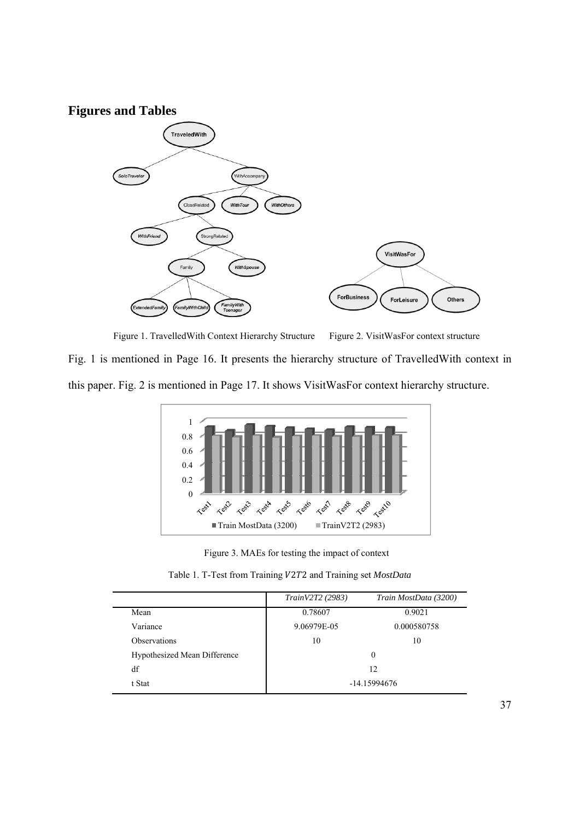## **Figures and Tables**



Figure 1. Travelled With Context Hierarchy Structure Figure 2. VisitWasFor context structure

Fig. 1 is mentioned in Page 16. It presents the hierarchy structure of TravelledWith context in this paper. Fig. 2 is mentioned in Page 17. It shows VisitWasFor context hierarchy structure.



Figure 3. MAEs for testing the impact of context

|                              | TrainV2T2 (2983) | Train MostData (3200) |  |  |  |
|------------------------------|------------------|-----------------------|--|--|--|
| Mean                         | 0.78607          | 0.9021                |  |  |  |
| Variance                     | 9.06979E-05      | 0.000580758           |  |  |  |
| <b>Observations</b>          | 10               | 10                    |  |  |  |
| Hypothesized Mean Difference | $\theta$         |                       |  |  |  |
| df                           | 12               |                       |  |  |  |
| t Stat                       | -14.15994676     |                       |  |  |  |

Table 1. T-Test from Training V2T2 and Training set *MostData*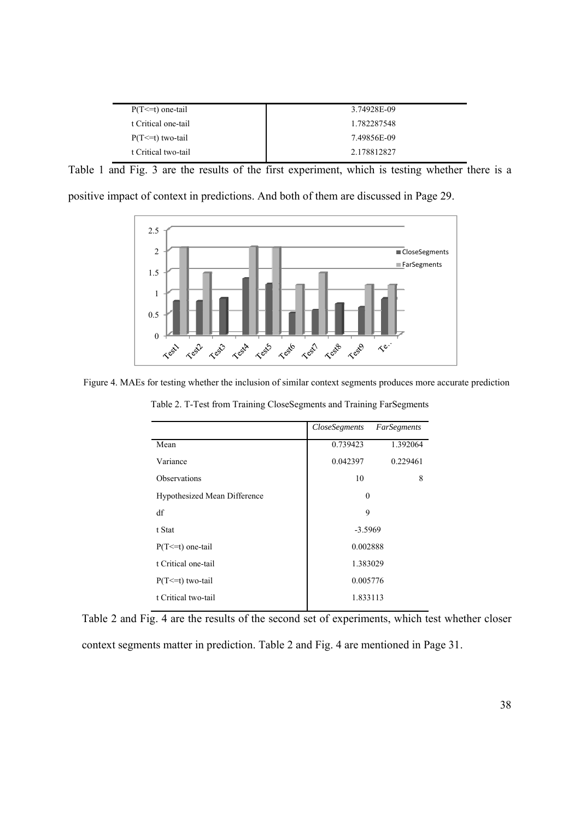| $P(T \le t)$ one-tail | 3.74928E-09 |
|-----------------------|-------------|
| t Critical one-tail   | 1.782287548 |
| $P(T \le t)$ two-tail | 7.49856E-09 |
| t Critical two-tail   | 2.178812827 |

Table 1 and Fig. 3 are the results of the first experiment, which is testing whether there is a

|  |  | positive impact of context in predictions. And both of them are discussed in Page 29. |  |  |  |
|--|--|---------------------------------------------------------------------------------------|--|--|--|
|  |  |                                                                                       |  |  |  |



Figure 4. MAEs for testing whether the inclusion of similar context segments produces more accurate prediction

|                              | CloseSegments | FarSegments |  |  |
|------------------------------|---------------|-------------|--|--|
| Mean                         | 0.739423      | 1.392064    |  |  |
| Variance                     | 0.042397      | 0.229461    |  |  |
| <b>Observations</b>          | 10            | 8           |  |  |
| Hypothesized Mean Difference | $\theta$      |             |  |  |
| df                           | 9             |             |  |  |
| t Stat                       | $-3.5969$     |             |  |  |
| $P(T \le t)$ one-tail        | 0.002888      |             |  |  |
| t Critical one-tail          | 1.383029      |             |  |  |
| $P(T \le t)$ two-tail        | 0.005776      |             |  |  |
| t Critical two-tail          | 1.833113      |             |  |  |
|                              |               |             |  |  |

Table 2. T-Test from Training CloseSegments and Training FarSegments

Table 2 and Fig. 4 are the results of the second set of experiments, which test whether closer context segments matter in prediction. Table 2 and Fig. 4 are mentioned in Page 31.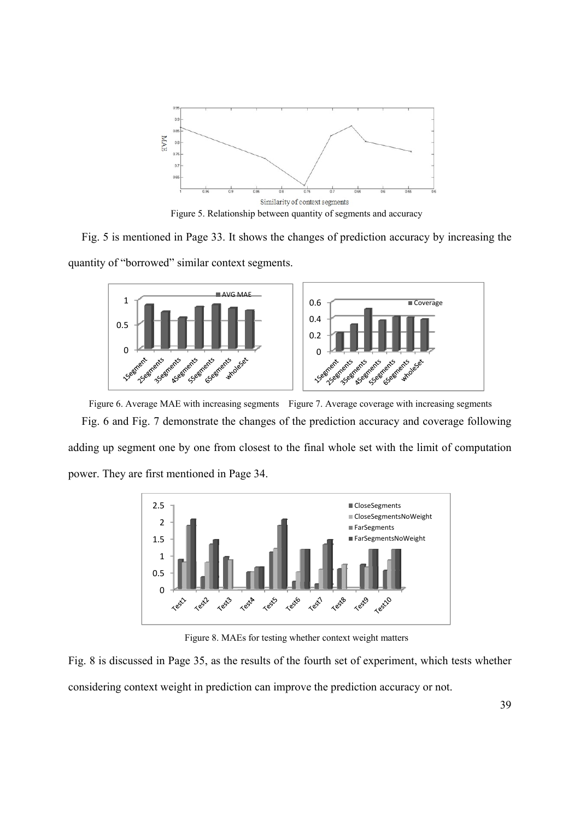

Figure 5. Relationship between quantity of segments and accuracy

Fig. 5 is mentioned in Page 33. It shows the changes of prediction accuracy by increasing the quantity of "borrowed" similar context segments.



Figure 6. Average MAE with increasing segments Figure 7. Average coverage with increasing segments Fig. 6 and Fig. 7 demonstrate the changes of the prediction accuracy and coverage following adding up segment one by one from closest to the final whole set with the limit of computation power. They are first mentioned in Page 34.



Figure 8. MAEs for testing whether context weight matters

Fig. 8 is discussed in Page 35, as the results of the fourth set of experiment, which tests whether considering context weight in prediction can improve the prediction accuracy or not.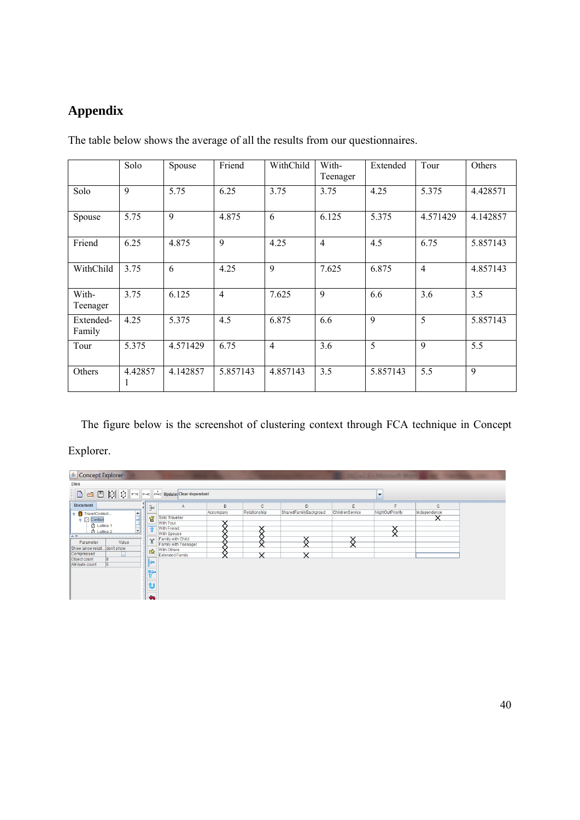## **Appendix**

|                     | Solo          | Spouse   | Friend         | WithChild      | With-<br>Teenager | Extended    | Tour           | Others   |
|---------------------|---------------|----------|----------------|----------------|-------------------|-------------|----------------|----------|
| Solo                | 9             | 5.75     | 6.25           | 3.75           | 3.75              | 4.25        | 5.375          | 4.428571 |
| Spouse              | 5.75          | 9        | 4.875          | 6              | 6.125             | 5.375       | 4.571429       | 4.142857 |
| Friend              | 6.25          | 4.875    | 9              | 4.25           | $\overline{4}$    | 4.5         | 6.75           | 5.857143 |
| WithChild           | 3.75          | 6        | 4.25           | 9              | 7.625             | 6.875       | $\overline{4}$ | 4.857143 |
| With-<br>Teenager   | 3.75          | 6.125    | $\overline{4}$ | 7.625          | 9                 | 6.6         | 3.6            | 3.5      |
| Extended-<br>Family | 4.25          | 5.375    | 4.5            | 6.875          | 6.6               | $\mathbf Q$ | 5              | 5.857143 |
| Tour                | 5.375         | 4.571429 | 6.75           | $\overline{4}$ | 3.6               | 5           | 9              | 5.5      |
| Others              | 4.42857<br>л. | 4.142857 | 5.857143       | 4.857143       | 3.5               | 5.857143    | 5.5            | 9        |

The table below shows the average of all the results from our questionnaires.

The figure below is the screenshot of clustering context through FCA technique in Concept Explorer.

| Concept Explorer                                                                                                                                                                                                                                                |                      |              |                       |                 |                  | <b>DECAUTES MANAGER WORK IN 1979</b> COMPANY |  |
|-----------------------------------------------------------------------------------------------------------------------------------------------------------------------------------------------------------------------------------------------------------------|----------------------|--------------|-----------------------|-----------------|------------------|----------------------------------------------|--|
| <b>Files</b>                                                                                                                                                                                                                                                    |                      |              |                       |                 |                  |                                              |  |
| DED Q P?C P-C P-C Update: Clear dependent                                                                                                                                                                                                                       |                      |              |                       |                 | ÷                |                                              |  |
| <b>Document</b><br>Зe                                                                                                                                                                                                                                           | B<br>A               | C            | D                     | E               |                  | G                                            |  |
| P TravelContext<br>$\blacktriangle$                                                                                                                                                                                                                             | Accompany            | Relationship | SharedFamilyBackgroud | ChildrenService | NightOutPriority | Independence                                 |  |
| Solo Traveller<br>₫<br><b>P</b> Context                                                                                                                                                                                                                         |                      |              |                       |                 |                  |                                              |  |
| With Tour<br><b>Q</b> Lattice 1<br><b>With Friend</b>                                                                                                                                                                                                           |                      |              |                       |                 |                  |                                              |  |
| - 2 Lattice 2<br>With Spouse                                                                                                                                                                                                                                    |                      |              |                       |                 |                  |                                              |  |
| $\blacktriangle \cdot \overline{\blacktriangle}$ . And the continuum continuum continuum continuum continuum continuum continuum continuum continuum continuum continuum continuum continuum continuum continuum continuum continuum continuum continuum contin | Family with Child    |              |                       |                 |                  |                                              |  |
| 聖<br>Value<br>Parameter                                                                                                                                                                                                                                         | Family with Teenager |              |                       |                 |                  |                                              |  |
| Show arrow relati don't show<br>With Others<br>险                                                                                                                                                                                                                |                      |              |                       |                 |                  |                                              |  |
| Compressed                                                                                                                                                                                                                                                      | Extended Family      |              |                       |                 |                  |                                              |  |
| 8 <br>Object count<br>⊫<br> 6 <br>Attribute count                                                                                                                                                                                                               |                      |              |                       |                 |                  |                                              |  |
|                                                                                                                                                                                                                                                                 |                      |              |                       |                 |                  |                                              |  |
| 旋                                                                                                                                                                                                                                                               |                      |              |                       |                 |                  |                                              |  |
| $\mathbb U$<br>$\leftarrow$                                                                                                                                                                                                                                     |                      |              |                       |                 |                  |                                              |  |